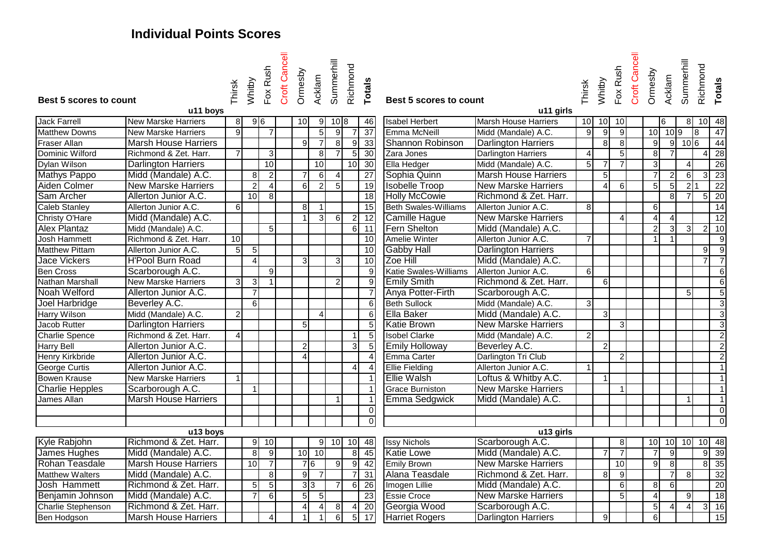# **Individual Points Scores**

| Best 5 scores to count                | u11 boys                                     | Thirsk               | Whitby                           | Fox Rush       | Croft Cancell | Ormesby         | Acklam          | Summerhill     | Richmond        | Totals          | Best 5 scores to count      | u11 girls                                   | Thirsk          | Whitby         | Fox Rush       | Croft Cancell | Ormesby        | Acklam         | Summerhill       | Richmond            | <b>Totals</b>    |
|---------------------------------------|----------------------------------------------|----------------------|----------------------------------|----------------|---------------|-----------------|-----------------|----------------|-----------------|-----------------|-----------------------------|---------------------------------------------|-----------------|----------------|----------------|---------------|----------------|----------------|------------------|---------------------|------------------|
| Jack Farrell                          | <b>New Marske Harriers</b>                   | 8 <sup>1</sup>       | 96                               |                |               | 10              | 9               | 10 8           |                 | 46              | <b>Isabel Herbert</b>       | <b>Marsh House Harriers</b>                 | 10 <sup>1</sup> | 10             | 10             |               |                | 6              | 81               |                     | 10 48            |
| <b>Matthew Downs</b>                  | <b>New Marske Harriers</b>                   | 9                    |                                  | $\overline{7}$ |               |                 | $\overline{5}$  | 9              |                 | 37              | Emma McNeill                | Midd (Mandale) A.C.                         | $\mathbf{Q}$    | 9              | 9              |               |                | $10$ 10 9      |                  | 8                   | 47               |
| Fraser Allan                          | <b>Marsh House Harriers</b>                  |                      |                                  |                |               | 9 <sup>1</sup>  | $\overline{7}$  | 8              | 9 <sup>1</sup>  | 33              | Shannon Robinson            | <b>Darlington Harriers</b>                  |                 | 8              | 8              |               | 9              |                | 9 106            |                     | 44               |
| Dominic Wilford                       | Richmond & Zet. Harr.                        | $\overline{7}$       |                                  | $\overline{3}$ |               |                 | 8               | $\overline{7}$ | 5 <sub>l</sub>  | 30              | Zara Jones                  | <b>Darlington Harriers</b>                  | $\vert$         |                | 5              |               | $\infty$       |                |                  | 4                   | $\overline{28}$  |
| Dylan Wilson                          | <b>Darlington Harriers</b>                   |                      |                                  | 10             |               |                 | 10              |                | 10 <sup>1</sup> | 30              | Ella Hedger                 | Midd (Mandale) A.C.                         | 5 <sup>1</sup>  |                |                |               | $\overline{3}$ |                |                  |                     | 26               |
| <b>Mathys Pappo</b>                   | Midd (Mandale) A.C.                          |                      | 8                                | $\vert$ 2      |               | $\overline{7}$  | 6               | $\overline{4}$ |                 | $\overline{27}$ | Sophia Quinn                | <b>Marsh House Harriers</b>                 |                 | $\overline{5}$ |                |               | $\overline{7}$ | $\overline{2}$ | 6                | $\overline{3}$      | 23               |
| Aiden Colmer                          | <b>New Marske Harriers</b>                   |                      | $\overline{c}$                   | $\vert$        |               | 6               | $\overline{2}$  | 5 <sup>5</sup> |                 | 19              | <b>Isobelle Troop</b>       | <b>New Marske Harriers</b>                  |                 | $\overline{4}$ | 6              |               | 5              | 5 <sub>5</sub> | $\overline{2}$ 1 |                     | $\overline{22}$  |
| Sam Archer                            | Allerton Junior A.C.                         |                      | 10                               | 8              |               |                 |                 |                |                 | $\overline{18}$ | <b>Holly McCowie</b>        | Richmond & Zet. Harr.                       |                 |                |                |               |                | 8 <sup>1</sup> |                  | 5                   | $\overline{20}$  |
| Caleb Stanley                         | Allerton Junior A.C.                         | $6 \mid$             |                                  |                |               | 8 <sup>1</sup>  | $\overline{1}$  |                |                 | 15              | <b>Beth Swales-Williams</b> | Allerton Junior A.C.                        | 8 <sup>1</sup>  |                |                |               | 6              |                |                  |                     | 14               |
|                                       | Midd (Mandale) A.C.                          |                      |                                  |                |               | $\vert$ 1       | $\mathbf{3}$    |                |                 | $\overline{12}$ | <b>Camille Hague</b>        | <b>New Marske Harriers</b>                  |                 |                |                |               | $\overline{4}$ | $\overline{4}$ |                  |                     | $\overline{12}$  |
| Christy O'Hare<br><b>Alex Plantaz</b> |                                              |                      |                                  |                |               |                 |                 | $6 \mid$       | $\overline{2}$  |                 | Fern Shelton                |                                             |                 |                |                |               | $\overline{2}$ |                | $\overline{3}$   |                     |                  |
| Josh Hammett                          | Midd (Mandale) A.C.<br>Richmond & Zet. Harr. | 10 <sup>1</sup>      |                                  | 5 <sub>l</sub> |               |                 |                 |                |                 | 6 11<br>10      | Amelie Winter               | Midd (Mandale) A.C.<br>Allerton Junior A.C. | $\overline{7}$  |                |                |               | 1              | 3              |                  | $\overline{c}$      | 10               |
| <b>Matthew Pittam</b>                 | Allerton Junior A.C.                         |                      |                                  |                |               |                 |                 |                |                 | 10              |                             |                                             |                 |                |                |               |                |                |                  |                     | 9                |
|                                       | <b>H'Pool Burn Road</b>                      | 5 <sub>5</sub>       | 5 <sub>5</sub><br>$\overline{4}$ |                |               |                 |                 |                |                 |                 | <b>Gabby Hall</b>           | <b>Darlington Harriers</b>                  |                 |                |                |               |                |                |                  | g<br>$\overline{7}$ | $\overline{9}$   |
| Jace Vickers                          |                                              |                      |                                  |                |               | 3 <sup>l</sup>  |                 | $\mathbf{3}$   |                 | 10              | Zoe Hill                    | Midd (Mandale) A.C.                         |                 |                |                |               |                |                |                  |                     | $\overline{7}$   |
| <b>Ben Cross</b>                      | Scarborough A.C.                             |                      |                                  | 9              |               |                 |                 |                |                 | $\overline{9}$  | Katie Swales-Williams       | Allerton Junior A.C.                        | $6 \mid$        |                |                |               |                |                |                  |                     | $\,6\,$          |
| Nathan Marshall                       | <b>New Marske Harriers</b>                   | $\overline{3}$       | 3                                | $\overline{1}$ |               |                 |                 | $\overline{2}$ |                 | $\overline{9}$  | <b>Emily Smith</b>          | Richmond & Zet. Harr.                       |                 | 6              |                |               |                |                |                  |                     | $\,6$            |
| Noah Welford                          | Allerton Junior A.C.                         |                      | $\overline{7}$                   |                |               |                 |                 |                |                 | $\overline{7}$  | Anya Potter-Firth           | Scarborough A.C.                            |                 |                |                |               |                |                | 5                |                     | $\overline{5}$   |
| Joel Harbridge                        | Beverley A.C.                                |                      | 6                                |                |               |                 |                 |                |                 | $6\overline{}$  | <b>Beth Sullock</b>         | Midd (Mandale) A.C.                         | $\overline{3}$  |                |                |               |                |                |                  |                     | $\sqrt{3}$       |
| Harry Wilson                          | Midd (Mandale) A.C.                          | $\overline{2}$       |                                  |                |               |                 | $\overline{4}$  |                |                 | $\overline{6}$  | Ella Baker                  | Midd (Mandale) A.C.                         |                 | $\mathbf{3}$   |                |               |                |                |                  |                     | 3                |
| Jacob Rutter                          | <b>Darlington Harriers</b>                   |                      |                                  |                |               | $\overline{5}$  |                 |                |                 | $\overline{5}$  | <b>Katie Brown</b>          | <b>New Marske Harriers</b>                  |                 |                | 3              |               |                |                |                  |                     | $\overline{3}$   |
| <b>Charlie Spence</b>                 | Richmond & Zet. Harr.                        | $\overline{4}$       |                                  |                |               |                 |                 |                | $\mathbf 1$     | $\overline{5}$  | <b>Isobel Clarke</b>        | Midd (Mandale) A.C.                         | $\overline{2}$  |                |                |               |                |                |                  |                     | $\boldsymbol{2}$ |
| Harry Bell                            | Allerton Junior A.C.                         |                      |                                  |                |               | 2 <sub>l</sub>  |                 |                | 3               | $\overline{5}$  | <b>Emily Holloway</b>       | Beverley A.C.                               |                 | $\overline{2}$ |                |               |                |                |                  |                     | $\overline{2}$   |
| Henry Kirkbride                       | Allerton Junior A.C.                         |                      |                                  |                |               | $\overline{4}$  |                 |                |                 | $\overline{4}$  | Emma Carter                 | Darlington Tri Club                         |                 |                | $\overline{2}$ |               |                |                |                  |                     | $\overline{2}$   |
| George Curtis                         | Allerton Junior A.C.                         |                      |                                  |                |               |                 |                 |                | 4               | $\overline{4}$  | <b>Ellie Fielding</b>       | Allerton Junior A.C.                        |                 |                |                |               |                |                |                  |                     | $\mathbf{1}$     |
| Bowen Krause                          | <b>New Marske Harriers</b>                   | $\blacktriangleleft$ |                                  |                |               |                 |                 |                |                 | $\mathbf{1}$    | <b>Ellie Walsh</b>          | Loftus & Whitby A.C.                        |                 |                |                |               |                |                |                  |                     | $\mathbf{1}$     |
| <b>Charlie Hepples</b>                | Scarborough A.C.                             |                      |                                  |                |               |                 |                 |                |                 |                 | Grace Burniston             | <b>New Marske Harriers</b>                  |                 |                |                |               |                |                |                  |                     | $\mathbf{1}$     |
| James Allan                           | <b>Marsh House Harriers</b>                  |                      |                                  |                |               |                 |                 | $\mathbf{1}$   |                 | $\mathbf{1}$    | <b>Emma Sedgwick</b>        | Midd (Mandale) A.C.                         |                 |                |                |               |                |                | $\overline{1}$   |                     | $\mathbf{1}$     |
|                                       |                                              |                      |                                  |                |               |                 |                 |                |                 | 0               |                             |                                             |                 |                |                |               |                |                |                  |                     | $\mathbf 0$      |
|                                       |                                              |                      |                                  |                |               |                 |                 |                |                 | $\overline{0}$  |                             |                                             |                 |                |                |               |                |                |                  |                     | $\Omega$         |
|                                       | u13 boys                                     |                      |                                  |                |               |                 |                 |                |                 |                 |                             | u13 girls                                   |                 |                |                |               |                |                |                  |                     |                  |
| Kyle Rabjohn                          | Richmond & Zet. Harr.                        |                      | 9                                | 10             |               |                 | $\vert 9 \vert$ | 10             | 10              | 48              | <b>Issy Nichols</b>         | Scarborough A.C.                            |                 |                | 8 <sup>1</sup> |               | 10             |                | $10$ 10          | 10                  | 48               |
| James Hughes                          | Midd (Mandale) A.C.                          |                      | $\infty$                         | 9              |               |                 | $10$ 10         |                | $\overline{8}$  | 45              | <b>Katie Lowe</b>           | Midd (Mandale) A.C.                         |                 | $\overline{7}$ | $\overline{7}$ |               | $\overline{7}$ | 9              |                  | $\overline{9}$      | 39               |
| <b>Rohan Teasdale</b>                 | <b>Marsh House Harriers</b>                  |                      | 10                               | $\overline{7}$ |               | 76              |                 | 9              | $9 \mid$        | 42              | <b>Emily Brown</b>          | <b>New Marske Harriers</b>                  |                 |                | 10             |               | 9              | $\infty$       |                  | œ.                  | 35               |
| <b>Matthew Walters</b>                | Midd (Mandale) A.C.                          |                      |                                  | 8 <sup>1</sup> |               | $\overline{9}$  | $\overline{7}$  |                |                 | 31              | Alana Teasdale              | Richmond & Zet. Harr.                       |                 | 8              | 9              |               |                | $\overline{7}$ | 8 <sup>1</sup>   |                     | 32               |
| Josh Hammett                          | Richmond & Zet. Harr.                        |                      | 5 <sub>5</sub>                   | 5              |               | $3\overline{3}$ |                 | $\overline{7}$ | 6               | 26              | Imogen Lillie               | Midd (Mandale) A.C.                         |                 |                | 6              |               | 8 <sup>1</sup> | $6 \mid$       |                  |                     | 20               |
| Benjamin Johnson                      | Midd (Mandale) A.C.                          |                      | $\overline{7}$                   | 6              |               | $\overline{5}$  | 5               |                |                 | $\overline{23}$ | <b>Essie Croce</b>          | <b>New Marske Harriers</b>                  |                 |                | 5              |               | $\overline{4}$ |                | $\mathfrak{g}$   |                     | $\overline{18}$  |
| <b>Charlie Stephenson</b>             | Richmond & Zet. Harr.                        |                      |                                  |                |               | $\overline{4}$  | $\overline{4}$  | 8              | 4               | 20              | Georgia Wood                | Scarborough A.C.                            |                 |                |                |               | $\overline{5}$ | 4              | $\overline{4}$   | $\mathbf{3}$        | 16               |
| <b>Ben Hodgson</b>                    | <b>Marsh House Harriers</b>                  |                      |                                  | $\vert$        |               |                 |                 | $\overline{6}$ | 5 <sub>l</sub>  | 17              | <b>Harriet Rogers</b>       | <b>Darlington Harriers</b>                  |                 | 9              |                |               | 6              |                |                  |                     | 15               |
|                                       |                                              |                      |                                  |                |               |                 |                 |                |                 |                 |                             |                                             |                 |                |                |               |                |                |                  |                     |                  |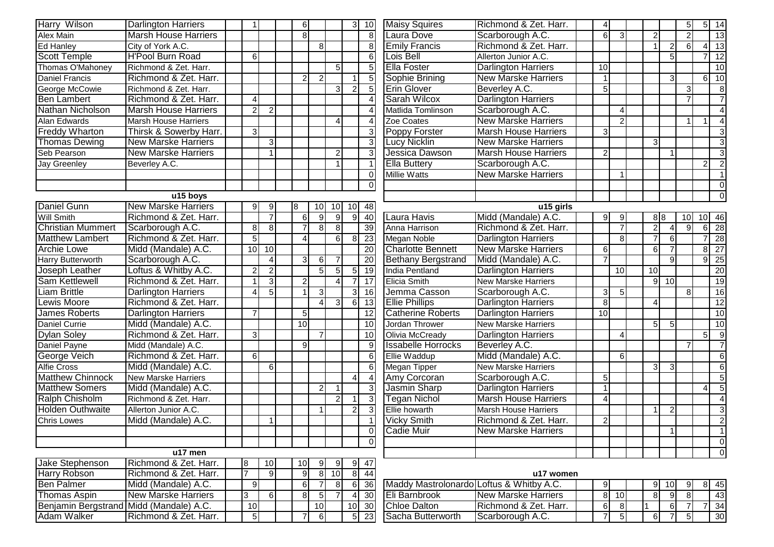| Harry Wilson                            | Darlington Harriers         |                          |                | 6              |                         |                        | 3               | 10              | <b>Maisy Squires</b>                     | Richmond & Zet. Harr.       | $\overline{4}$  |                |                |                 | 5               |                | $5 \overline{\phantom{a}} 14$ |
|-----------------------------------------|-----------------------------|--------------------------|----------------|----------------|-------------------------|------------------------|-----------------|-----------------|------------------------------------------|-----------------------------|-----------------|----------------|----------------|-----------------|-----------------|----------------|-------------------------------|
| <b>Alex Main</b>                        | <b>Marsh House Harriers</b> |                          |                | $\overline{8}$ |                         |                        |                 | 8               | Laura Dove                               | Scarborough A.C.            | 6               | $\mathbf{3}$   | $\overline{2}$ |                 | $\overline{2}$  |                | 13                            |
| Ed Hanley                               | City of York A.C.           |                          |                |                | 8 <sup>1</sup>          |                        |                 | 8 <sup>1</sup>  | <b>Emily Francis</b>                     | Richmond & Zet. Harr.       |                 |                |                |                 | $6\phantom{1}6$ |                | $4 \overline{13}$             |
| <b>Scott Temple</b>                     | <b>H'Pool Burn Road</b>     | 6                        |                |                |                         |                        |                 | 6               | Lois Bell                                | Allerton Junior A.C.        |                 |                |                | 5 <sub>l</sub>  |                 |                | $7 \overline{\smash{)}\ 12}$  |
| Thomas O'Mahoney                        | Richmond & Zet. Harr.       |                          |                |                |                         | 5                      |                 | 5               | <b>Ella Foster</b>                       | <b>Darlington Harriers</b>  | 10              |                |                |                 |                 |                | 10                            |
| <b>Daniel Francis</b>                   | Richmond & Zet. Harr.       |                          |                | $\overline{2}$ | $\overline{2}$          |                        | $\overline{1}$  | 5               | Sophie Brining                           | <b>New Marske Harriers</b>  | $\overline{1}$  |                |                | $\mathcal{R}$   |                 |                | $6 \overline{10}$             |
| George McCowie                          | Richmond & Zet. Harr.       |                          |                |                |                         | $\overline{3}$         | $\overline{2}$  | 5               | <b>Erin Glover</b>                       | Beverley A.C.               | $\overline{5}$  |                |                |                 | 3               |                | $\infty$                      |
| <b>Ben Lambert</b>                      | Richmond & Zet. Harr.       | $\boldsymbol{\varDelta}$ |                |                |                         |                        |                 | $\overline{4}$  | <b>Sarah Wilcox</b>                      | <b>Darlington Harriers</b>  |                 |                |                |                 | $\overline{7}$  |                | $\overline{7}$                |
| Nathan Nicholson                        | <b>Marsh House Harriers</b> | $\overline{2}$           | $\overline{2}$ |                |                         |                        |                 | $\Delta$        | Matlida Tomlinson                        | Scarborough A.C.            |                 | $\overline{4}$ |                |                 |                 |                | $\overline{4}$                |
| Alan Edwards                            | <b>Marsh House Harriers</b> |                          |                |                |                         | Δ                      |                 | $\overline{4}$  | Zoe Coates                               | <b>New Marske Harriers</b>  |                 | 2 <sub>l</sub> |                |                 |                 |                | $\overline{4}$                |
| Freddy Wharton                          | Thirsk & Sowerby Harr.      | 3                        |                |                |                         |                        |                 | 3               | Poppy Forster                            | <b>Marsh House Harriers</b> | 3               |                |                |                 |                 |                | $\vert 3 \vert$               |
| <b>Thomas Dewing</b>                    | <b>New Marske Harriers</b>  |                          | $\mathbf{3}$   |                |                         |                        |                 | 3               | <b>Lucy Nicklin</b>                      | <b>New Marske Harriers</b>  |                 |                | 3              |                 |                 |                | $\overline{3}$                |
| Seb Pearson                             | <b>New Marske Harriers</b>  |                          | $\overline{1}$ |                |                         | $\overline{2}$         |                 | 3               | Jessica Dawson                           | <b>Marsh House Harriers</b> | $\overline{2}$  |                |                |                 |                 |                | 3                             |
| Jay Greenley                            | Beverley A.C.               |                          |                |                |                         |                        |                 |                 | <b>Ella Buttery</b>                      | Scarborough A.C.            |                 |                |                |                 |                 | $\overline{2}$ | $\vert$ 2                     |
|                                         |                             |                          |                |                |                         |                        |                 | $\overline{0}$  | <b>Millie Watts</b>                      | <b>New Marske Harriers</b>  |                 |                |                |                 |                 |                |                               |
|                                         |                             |                          |                |                |                         |                        |                 | $\Omega$        |                                          |                             |                 |                |                |                 |                 |                | $\vert 0 \vert$               |
|                                         | u15 boys                    |                          |                |                |                         |                        |                 |                 |                                          |                             |                 |                |                |                 |                 |                | $\overline{0}$                |
| Daniel Gunn                             | <b>New Marske Harriers</b>  | 9                        | 9              | 8              | 10I                     | 10                     | 10              | 48              |                                          | u15 girls                   |                 |                |                |                 |                 |                |                               |
| <b>Will Smith</b>                       | Richmond & Zet. Harr.       |                          | $\overline{7}$ | 6              | 9                       | 9                      | 9               | 40              | Laura Havis                              | Midd (Mandale) A.C.         | 9               | $9 \mid$       |                | 8 8             | 10              |                | 10 46                         |
| <b>Christian Mummert</b>                | Scarborough A.C.            | 8                        | 8              | $\overline{7}$ | 8 <sup>1</sup>          | 8                      |                 | 39              | Anna Harrison                            | Richmond & Zet. Harr.       |                 | $\overline{7}$ | $\overline{2}$ |                 | 9               |                | $6 \overline{28}$             |
| <b>Matthew Lambert</b>                  | Richmond & Zet. Harr.       | 5                        |                | $\overline{4}$ |                         | 6                      | 8               | 23              | Megan Noble                              | <b>Darlington Harriers</b>  |                 | 8 <sup>1</sup> |                | 61              |                 | 71             | $\overline{28}$               |
| <b>Archie Lowe</b>                      | Midd (Mandale) A.C.         | $\overline{10}$          | 10             |                |                         |                        |                 | 20              | <b>Charlotte Bennett</b>                 | <b>New Marske Harriers</b>  | $\,6$           |                | 6              |                 |                 |                | 8 27                          |
| Harry Butterworth                       | Scarborough A.C.            |                          | 4              | $\mathbf{3}$   | 6                       | $\overline{7}$         |                 | 20              | <b>Bethany Bergstrand</b>                | Midd (Mandale) A.C.         | $\overline{7}$  |                |                | ρI              |                 |                | 9 <sup>25</sup>               |
| Joseph Leather                          | Loftus & Whitby A.C.        | $\overline{2}$           | $\overline{2}$ |                | 5 <sup>1</sup>          | $\overline{5}$         | $5\phantom{.0}$ | $\overline{19}$ | India Pentland                           | <b>Darlington Harriers</b>  |                 | 10             | 10             |                 |                 |                | 20                            |
| Sam Kettlewell                          | Richmond & Zet. Harr.       |                          | $\vert$ 3      | $\overline{c}$ |                         | $\boldsymbol{\Lambda}$ | $\overline{7}$  | 17              | <b>Elicia Smith</b>                      | <b>New Marske Harriers</b>  |                 |                | 9 <sup>1</sup> | 10 <sup>1</sup> |                 |                | 19                            |
| <b>Liam Brittle</b>                     | <b>Darlington Harriers</b>  | $\overline{\phantom{a}}$ | 5              | $\overline{1}$ | $\overline{3}$          |                        | 3 <sup>l</sup>  | 16              | Jemma Casson                             | Scarborough A.C.            | 3               | 5              |                |                 | 8               |                | 16                            |
| Lewis Moore                             | Richmond & Zet. Harr.       |                          |                |                | $\Delta$                | 3                      | $6 \mid$        | 13              | <b>Ellie Phillips</b>                    | <b>Darlington Harriers</b>  | 8               |                | 4              |                 |                 |                | $\overline{12}$               |
| James Roberts                           | <b>Darlington Harriers</b>  |                          |                | $\sqrt{5}$     |                         |                        |                 | 12              | <b>Catherine Roberts</b>                 | <b>Darlington Harriers</b>  | $\overline{10}$ |                |                |                 |                 |                | 10                            |
| Daniel Currie                           | Midd (Mandale) A.C.         |                          |                | 10             |                         |                        |                 | 10              | Jordan Thrower                           | <b>New Marske Harriers</b>  |                 |                | 5 <sub>l</sub> |                 |                 |                | 10                            |
| <b>Dylan Soley</b>                      | Richmond & Zet. Harr.       | 3                        |                |                |                         |                        |                 | 10              | Olivia McCready                          | <b>Darlington Harriers</b>  |                 |                |                |                 |                 | 5 <sup>1</sup> | و<br>                         |
| Daniel Payne                            | Midd (Mandale) A.C.         |                          |                | 9              |                         |                        |                 | 9               | <b>Issabelle Horrocks</b>                | Beverley A.C.               |                 |                |                |                 |                 |                | $\overline{7}$                |
| George Veich                            | Richmond & Zet. Harr.       | 6                        |                |                |                         |                        |                 | 6               | Ellie Waddup                             | Midd (Mandale) A.C.         |                 | 6              |                |                 |                 |                | $\,6$                         |
| Alfie Cross                             | Midd (Mandale) A.C.         |                          | 6              |                |                         |                        |                 | 6               | Megan Tipper                             | <b>New Marske Harriers</b>  |                 |                | 3 <sup>l</sup> |                 |                 |                | 6                             |
| <b>Matthew Chinnock</b>                 | <b>New Marske Harriers</b>  |                          |                |                |                         |                        | 4               | $\overline{4}$  | Amy Corcoran                             | Scarborough A.C.            | 5               |                |                |                 |                 |                | $\overline{5}$                |
| <b>Matthew Somers</b>                   | Midd (Mandale) A.C.         |                          |                |                |                         |                        |                 | 3               | Jasmin Sharp                             | <b>Darlington Harriers</b>  |                 |                |                |                 |                 | 4              | 5                             |
| Ralph Chisholm                          | Richmond & Zet. Harr.       |                          |                |                |                         | $\overline{2}$         |                 | 3               | <b>Tegan Nichol</b>                      | <b>Marsh House Harriers</b> | Δ               |                |                |                 |                 |                | $\overline{4}$                |
| <b>Holden Outhwaite</b>                 | Allerton Junior A.C.        |                          |                |                |                         |                        | $\overline{2}$  | 3               | Ellie howarth                            | <b>Marsh House Harriers</b> |                 |                | $\overline{1}$ |                 |                 |                | 3                             |
| <b>Chris Lowes</b>                      | Midd (Mandale) A.C.         |                          | $\mathbf 1$    |                |                         |                        |                 | $\overline{1}$  | <b>Vicky Smith</b>                       | Richmond & Zet. Harr.       | 2               |                |                |                 |                 |                | $\vert$ 2                     |
|                                         |                             |                          |                |                |                         |                        |                 | $\Omega$        | Cadie Muir                               | <b>New Marske Harriers</b>  |                 |                |                |                 |                 |                |                               |
|                                         |                             |                          |                |                |                         |                        |                 | $\Omega$        |                                          |                             |                 |                |                |                 |                 |                | $\overline{0}$                |
|                                         | $u17$ men                   |                          |                |                |                         |                        |                 |                 |                                          |                             |                 |                |                |                 |                 |                | $\overline{0}$                |
| Jake Stephenson                         | Richmond & Zet. Harr.       | 8                        | 10             | 10             | 9                       | -9                     | 9               | 47              |                                          |                             |                 |                |                |                 |                 |                |                               |
| Harry Robson                            | Richmond & Zet. Harr.       | $\overline{7}$           | -9             | 9              | $\overline{\mathbf{8}}$ | 10                     | $\infty$        | 44              |                                          | u17 women                   |                 |                |                |                 |                 |                |                               |
| <b>Ben Palmer</b>                       | Midd (Mandale) A.C.         | 9                        |                | $6 \mid$       | $\overline{7}$          | 8                      | 6               | 36              | Maddy Mastrolonardo Loftus & Whitby A.C. |                             | 9               |                | 91             | 10 <sup>1</sup> | 9               |                | 8 45                          |
| <b>Thomas Aspin</b>                     | <b>New Marske Harriers</b>  | 3                        | $6 \mid$       | 8 <sup>1</sup> | 5 <sub>l</sub>          | $\overline{7}$         | $\overline{4}$  | 30              | Eli Barnbrook                            | <b>New Marske Harriers</b>  | 8               | 10             | 8 <sup>1</sup> | 9               | 8               |                | 43                            |
| Benjamin Bergstrand Midd (Mandale) A.C. |                             | 10                       |                |                | 10                      |                        | 10              | 30              | <b>Chloe Dalton</b>                      | Richmond & Zet. Harr.       | 6               | 8              |                | 61              | 7               |                | 7 34                          |
| <b>Adam Walker</b>                      | Richmond & Zet. Harr.       | 5                        |                | 7              | $6 \mid$                |                        | 5               | 23              | Sacha Butterworth                        | Scarborough A.C.            | 7               | 5 <sub>l</sub> | $6 \mid$       |                 | $5\overline{)}$ |                | 30                            |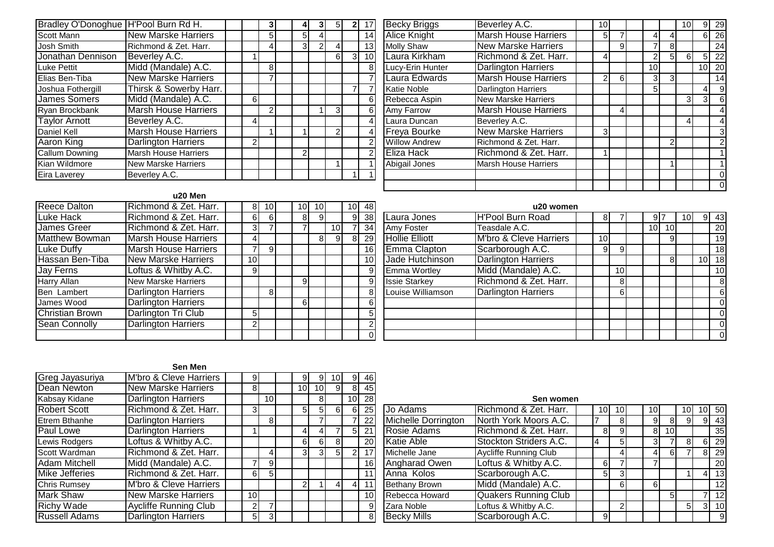| Bradley O'Donoghue   H'Pool Burn Rd H. |                             |   | 3             | 4             |                |   |   | 17             |
|----------------------------------------|-----------------------------|---|---------------|---------------|----------------|---|---|----------------|
| Scott Mann                             | <b>New Marske Harriers</b>  |   | 5             | 5             |                |   |   | 14             |
| Josh Smith                             | Richmond & Zet. Harr.       |   | 4             | 3             | $\overline{2}$ | 4 |   | 13             |
| Jonathan Dennison                      | Beverley A.C.               |   |               |               |                | 6 | 3 | 10             |
| <b>Luke Pettit</b>                     | Midd (Mandale) A.C.         |   | 8             |               |                |   |   | 8              |
| Elias Ben-Tiba                         | <b>New Marske Harriers</b>  |   | 7             |               |                |   |   | $\overline{7}$ |
| Joshua Fothergill                      | Thirsk & Sowerby Harr.      |   |               |               |                |   | 7 | $\overline{7}$ |
| <b>James Somers</b>                    | Midd (Mandale) A.C.         | 6 |               |               |                |   |   | 6              |
| Ryan Brockbank                         | <b>Marsh House Harriers</b> |   | $\mathcal{P}$ |               |                | 3 |   | 6              |
| <b>Taylor Arnott</b>                   | Beverley A.C.               | 4 |               |               |                |   |   | $\overline{4}$ |
| Daniel Kell                            | <b>Marsh House Harriers</b> |   |               |               |                | 2 |   | $\overline{4}$ |
| Aaron King                             | Darlington Harriers         | 2 |               |               |                |   |   | $\overline{2}$ |
| <b>Callum Downing</b>                  | <b>Marsh House Harriers</b> |   |               | $\mathcal{P}$ |                |   |   | $\overline{2}$ |
| Kian Wildmore                          | <b>New Marske Harriers</b>  |   |               |               |                |   |   | $\mathbf{1}$   |
| Eira Laverey                           | Beverley A.C.               |   |               |               |                |   |   | $\mathbf{1}$   |

| 3 | 5              | $\mathbf{2}$   | 17              | <b>Becky Briggs</b>  | Beverley A.C.               | 10 |   |    |   | 10       | 9  | 29              |
|---|----------------|----------------|-----------------|----------------------|-----------------------------|----|---|----|---|----------|----|-----------------|
|   |                |                | 14              | <b>Alice Knight</b>  | <b>Marsh House Harriers</b> | 5  |   | 4  |   |          | 6  | 26              |
|   |                |                | 13              | <b>Molly Shaw</b>    | <b>New Marske Harriers</b>  |    | 9 |    | 8 |          |    | 24              |
|   | 6              | $\overline{3}$ | 10 <sub>l</sub> | Laura Kirkham        | Richmond & Zet. Harr.       | 4  |   |    | 5 | $6 \mid$ | 5  | 22              |
|   |                |                | 8               | Lucy-Erin Hunter     | <b>Darlington Harriers</b>  |    |   | 10 |   |          | 10 | 20 <sub>2</sub> |
|   |                |                | 7               | Laura Edwards        | <b>Marsh House Harriers</b> | 2  | 6 | 3  | 3 |          |    | 14              |
|   |                |                |                 | Katie Noble          | <b>Darlington Harriers</b>  |    |   | 5  |   |          | 4  | 9               |
|   |                |                | 6               | Rebecca Aspin        | <b>New Marske Harriers</b>  |    |   |    |   | 3        | 3  | 6               |
|   | 3              |                | 6               | Amy Farrow           | <b>Marsh House Harriers</b> |    | 4 |    |   |          |    |                 |
|   |                |                | 4               | Laura Duncan         | Beverley A.C.               |    |   |    |   | 4        |    |                 |
|   | $\overline{2}$ |                | 4               | <b>Freya Bourke</b>  | <b>New Marske Harriers</b>  | 3  |   |    |   |          |    | 3               |
|   |                |                | $\overline{2}$  | <b>Willow Andrew</b> | Richmond & Zet. Harr.       |    |   |    | 2 |          |    | 2               |
|   |                |                | $\overline{2}$  | Eliza Hack           | Richmond & Zet. Harr.       |    |   |    |   |          |    |                 |
|   |                |                |                 | Abigail Jones        | <b>Marsh House Harriers</b> |    |   |    |   |          |    |                 |
|   |                |                |                 |                      |                             |    |   |    |   |          |    | 0               |
|   |                |                |                 |                      |                             |    |   |    |   |          |    | 0               |

| u20 Men |  |  |
|---------|--|--|
|         |  |  |

| Reece Dalton          | Richmond & Zet. Harr.       | 81              | 10 <sup>1</sup> |    | $10$ 10 |     | 10 <sup>1</sup> | 48              | u20 v                                           |
|-----------------------|-----------------------------|-----------------|-----------------|----|---------|-----|-----------------|-----------------|-------------------------------------------------|
| Luke Hack             | Richmond & Zet. Harr.       | 61              |                 | 81 | -91     |     | 91              | 38 <sup>1</sup> | <b>H'Pool Burn Road</b><br>Laura Jones          |
| James Greer           | Richmond & Zet. Harr.       | 31              |                 |    |         | 10I |                 | 34              | Amy Foster<br>Teasdale A.C.                     |
| <b>Matthew Bowman</b> | Marsh House Harriers        | 41              |                 |    | 81      | 9   | 81              | 29              | M'bro & Cleve Hari<br><b>Hollie Elliott</b>     |
| Luke Duffy            | <b>Marsh House Harriers</b> |                 | 91              |    |         |     |                 | 16 <sup>1</sup> | Emma Clapton<br>Scarborough A.C.                |
| Hassan Ben-Tiba       | New Marske Harriers         | 10 <sup>1</sup> |                 |    |         |     |                 | 10 <sup>1</sup> | <b>Darlington Harriers</b><br>Jade Hutchinson   |
| Jay Ferns             | Loftus & Whitby A.C.        | 9               |                 |    |         |     |                 | 9               | Midd (Mandale) A.<br>Emma Wortley               |
| Harry Allan           | <b>New Marske Harriers</b>  |                 |                 | 91 |         |     |                 | $\overline{9}$  | Richmond & Zet. H<br><b>Issie Starkey</b>       |
| Ben Lambert           | <b>Darlington Harriers</b>  |                 | 81              |    |         |     |                 | 8               | <b>Darlington Harriers</b><br>Louise Williamson |
| James Wood            | <b>Darlington Harriers</b>  |                 |                 | 61 |         |     |                 | 6               |                                                 |
| Christian Brown       | Darlington Tri Club         | 51              |                 |    |         |     |                 | 5               |                                                 |
| Sean Connolly         | <b>Darlington Harriers</b>  | 2               |                 |    |         |     |                 | 2               |                                                 |
|                       |                             |                 |                 |    |         |     |                 | 0               |                                                 |

| 01             | 10 | 10 <sub>l</sub> |                 | 10 <sub>1</sub> | 48              |                       | u20 women                  |    |                 |                 |    |    |    |                 |
|----------------|----|-----------------|-----------------|-----------------|-----------------|-----------------------|----------------------------|----|-----------------|-----------------|----|----|----|-----------------|
| $\overline{6}$ | 8  | 9               |                 | 9               | 38              | Laura Jones           | <b>H'Pool Burn Road</b>    | 8  |                 | 9               |    | 10 | 91 | 43              |
|                |    |                 | 10 <sub>1</sub> |                 | 34              | Amy Foster            | Teasdale A.C.              |    |                 | 10 <sub>1</sub> | 10 |    |    | 20              |
|                |    | 81              | 9               | 8               | 29              | <b>Hollie Elliott</b> | M'bro & Cleve Harriers     | 10 |                 |                 | 9  |    |    | 19              |
| 9              |    |                 |                 |                 | 16              | Emma Clapton          | Scarborough A.C.           | 9  | 9               |                 |    |    |    | 18              |
|                |    |                 |                 |                 | 10 <sup>1</sup> | Jade Hutchinson       | <b>Darlington Harriers</b> |    |                 |                 | 8  |    | 10 | 18              |
|                |    |                 |                 |                 | 9               | Emma Wortley          | Midd (Mandale) A.C.        |    | 10 <sup>1</sup> |                 |    |    |    | 10 <sup>1</sup> |
|                | 9  |                 |                 |                 | 9               | <b>Issie Starkey</b>  | Richmond & Zet. Harr.      |    | 8               |                 |    |    |    | 8               |
| 8              |    |                 |                 |                 | 8               | Louise Williamson     | <b>Darlington Harriers</b> |    | 6               |                 |    |    |    | 6               |
|                | 6  |                 |                 |                 | $6 \mid$        |                       |                            |    |                 |                 |    |    |    | $\Omega$        |
|                |    |                 |                 |                 | 5 <sup>1</sup>  |                       |                            |    |                 |                 |    |    |    | $\overline{0}$  |
|                |    |                 |                 |                 | $\overline{2}$  |                       |                            |    |                 |                 |    |    |    | $\Omega$        |
|                |    |                 |                 |                 | 0               |                       |                            |    |                 |                 |    |    |    | 0               |

|                      | JEH MEH                      |                 |                 |                 |                 |     |                 |                 |                            |                             |
|----------------------|------------------------------|-----------------|-----------------|-----------------|-----------------|-----|-----------------|-----------------|----------------------------|-----------------------------|
| Greg Jayasuriya      | M'bro & Cleve Harriers       | 9               |                 |                 | 9               | 101 |                 | 46              |                            |                             |
| Dean Newton          | <b>New Marske Harriers</b>   | 81              |                 | 10 <sup>1</sup> | 10 <sup>1</sup> | 91  | 81              | 45              |                            |                             |
| Kabsay Kidane        | <b>Darlington Harriers</b>   |                 | 10 <sup>1</sup> |                 | 81              |     | 10 <sub>l</sub> | 28              |                            | Sen wom                     |
| <b>Robert Scott</b>  | Richmond & Zet. Harr.        | 3               |                 | 51              | 51              | 6I  | 6               | 25              | Jo Adams                   | Richmond & Zet. Harr.       |
| Etrem Bthanhe        | <b>Darlington Harriers</b>   |                 | 81              |                 |                 |     |                 | 22              | <b>Michelle Dorrington</b> | North York Moors A.C.       |
| Paul Lowe            | <b>Darlington Harriers</b>   |                 |                 | 4               |                 |     | 5               | 21              | Rosie Adams                | Richmond & Zet. Harr.       |
| Lewis Rodgers        | Loftus & Whitby A.C.         |                 |                 | 61              | 6               | 8   |                 | 20              | Katie Able                 | Stockton Striders A.C.      |
| Scott Wardman        | Richmond & Zet. Harr.        |                 |                 | 31              | 31              | 51  |                 | 17 <sub>1</sub> | Michelle Jane              | Aycliffe Running Club       |
| <b>Adam Mitchell</b> | Midd (Mandale) A.C.          |                 | 9               |                 |                 |     |                 | 16              | Angharad Owen              | Loftus & Whitby A.C.        |
| Mike Jefferies       | Richmond & Zet. Harr.        | 6I              | 5 <sub>l</sub>  |                 |                 |     |                 | 11              | Anna Kolos                 | Scarborough A.C.            |
| Chris Rumsev         | M'bro & Cleve Harriers       |                 |                 | 2               |                 | 41  | 41              | 11              | <b>Bethany Brown</b>       | Midd (Mandale) A.C.         |
| Mark Shaw            | <b>New Marske Harriers</b>   | 10 <sup>1</sup> |                 |                 |                 |     |                 | 10              | Rebecca Howard             | <b>Quakers Running Club</b> |
| <b>Richy Wade</b>    | <b>Aycliffe Running Club</b> | 2               |                 |                 |                 |     |                 | 9               | Zara Noble                 | Loftus & Whitby A.C.        |
| <b>Russell Adams</b> | <b>Darlington Harriers</b>   | 5 <sub>l</sub>  | 3               |                 |                 |     |                 | 8               | <b>Becky Mills</b>         | Scarborough A.C.            |
|                      |                              |                 |                 |                 |                 |     |                 |                 |                            |                             |

| ٥I |                | 8              |   | 10 <sup>1</sup> | 28              |                      | Sen women                    |                 |    |     |                 |    |                 |                 |
|----|----------------|----------------|---|-----------------|-----------------|----------------------|------------------------------|-----------------|----|-----|-----------------|----|-----------------|-----------------|
|    | 5              | 5 <sup>1</sup> | 6 | 61              | 25              | Jo Adams             | Richmond & Zet. Harr.        | 10 <sup>1</sup> | 10 | 10. |                 | 10 | 10 <sub>1</sub> | 50              |
| 81 |                |                |   |                 | 22              | Michelle Dorrington  | North York Moors A.C.        |                 | 8  | 9   | 8               | 9  | 9               | 43              |
|    |                |                |   | 51              | 21              | Rosie Adams          | Richmond & Zet. Harr.        | 81              | 9  | 8   | 10 <sup>1</sup> |    |                 | 35 <sub>1</sub> |
|    | 61             | 6              | 8 |                 | 20 <sub>l</sub> | <b>Katie Able</b>    | Stockton Striders A.C.       | 4               | 5  | 31  |                 | 8  | 6               | 29              |
| 41 | 3 <sup>l</sup> | 3              | 5 | 2 <sub>l</sub>  | 17              | Michelle Jane        | <b>Aycliffe Running Club</b> |                 |    |     | 6               |    | 8               | 29              |
| 9  |                |                |   |                 | 16 <sup>1</sup> | <b>Angharad Owen</b> | Loftus & Whitby A.C.         | 6               |    |     |                 |    |                 | 20              |
| 5  |                |                |   |                 | 11              | Anna Kolos           | Scarborough A.C.             | 51              | 3  |     |                 |    |                 | 13 <sup>1</sup> |
|    | ⌒              |                |   |                 | 11              | <b>Bethany Brown</b> | Midd (Mandale) A.C.          |                 | 6  | 61  |                 |    |                 | 12 <sup>1</sup> |
|    |                |                |   |                 | 10 <sup>1</sup> | Rebecca Howard       | <b>Quakers Running Club</b>  |                 |    |     | 5               |    |                 | 12 <sup>1</sup> |
|    |                |                |   |                 | $\vert 9 \vert$ | Zara Noble           | Loftus & Whitby A.C.         |                 | າ  |     |                 | 5  | 3               | 10 <sup>1</sup> |
| зI |                |                |   |                 | 8               | <b>Becky Mills</b>   | Scarborough A.C.             | 9               |    |     |                 |    |                 | -9              |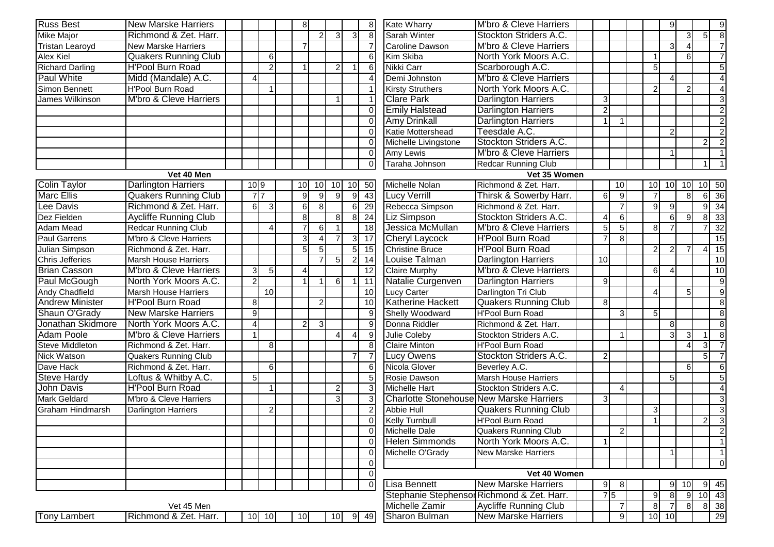| <b>Russ Best</b>        | <b>New Marske Harriers</b>        |                |                 | 8                      |                 |                  |                | 8                 | <b>Kate Wharry</b>                              | M'bro & Cleve Harriers                     |                        |                 |                | 9              |                |                | 9                        |
|-------------------------|-----------------------------------|----------------|-----------------|------------------------|-----------------|------------------|----------------|-------------------|-------------------------------------------------|--------------------------------------------|------------------------|-----------------|----------------|----------------|----------------|----------------|--------------------------|
| <b>Mike Major</b>       | Richmond & Zet. Harr.             |                |                 |                        |                 | 3                | 3              | 8 <sup>°</sup>    | Sarah Winter                                    | Stockton Striders A.C.                     |                        |                 |                |                | 3              | 5 <sup>1</sup> | $\overline{8}$           |
| <b>Tristan Learoyd</b>  | <b>New Marske Harriers</b>        |                |                 |                        |                 |                  |                |                   | <b>Caroline Dawson</b>                          | <b>M'bro &amp; Cleve Harriers</b>          |                        |                 |                | 3              |                |                | $\overline{7}$           |
| Alex Kiel               | <b>Quakers Running Club</b>       |                | $6 \mid$        |                        |                 |                  |                | 6                 | Kim Skiba                                       | North York Moors A.C.                      |                        |                 |                |                | 6              |                |                          |
| <b>Richard Darling</b>  | <b>H'Pool Burn Road</b>           |                | $\overline{2}$  | $\overline{1}$         |                 | 2                |                | -61               | Nikki Carr                                      | Scarborough A.C.                           |                        |                 | 5              |                |                |                | 5                        |
| <b>Paul White</b>       | Midd (Mandale) A.C.               | Δ              |                 |                        |                 |                  |                | 4                 | Demi Johnston                                   | M'bro & Cleve Harriers                     |                        |                 |                |                |                |                |                          |
| Simon Bennett           | <b>H'Pool Burn Road</b>           |                | $\overline{1}$  |                        |                 |                  |                |                   | <b>Kirsty Struthers</b>                         | North York Moors A.C.                      |                        |                 | $\overline{2}$ |                | $\mathcal{P}$  |                | $\overline{4}$           |
| James Wilkinson         | <b>M'bro &amp; Cleve Harriers</b> |                |                 |                        |                 | $\overline{1}$   |                | $\mathbf{1}$      | <b>Clare Park</b>                               | <b>Darlington Harriers</b>                 | 3                      |                 |                |                |                |                | $\overline{\omega}$      |
|                         |                                   |                |                 |                        |                 |                  |                | $\Omega$          | <b>Emily Halstead</b>                           | <b>Darlington Harriers</b>                 | $\overline{2}$         |                 |                |                |                |                | $\overline{2}$           |
|                         |                                   |                |                 |                        |                 |                  |                | $\Omega$          | <b>Amy Drinkall</b>                             | <b>Darlington Harriers</b>                 |                        |                 |                |                |                |                | $\overline{2}$           |
|                         |                                   |                |                 |                        |                 |                  |                | $\Omega$          | Katie Mottershead                               | Teesdale A.C.                              |                        |                 |                | $\mathcal{P}$  |                |                | $\overline{2}$           |
|                         |                                   |                |                 |                        |                 |                  |                | $\Omega$          | Michelle Livingstone                            | Stockton Striders A.C.                     |                        |                 |                |                |                | $\overline{2}$ | $\overline{2}$           |
|                         |                                   |                |                 |                        |                 |                  |                | $\Omega$          | Amy Lewis                                       | <b>M'bro &amp; Cleve Harriers</b>          |                        |                 |                |                |                |                |                          |
|                         |                                   |                |                 |                        |                 |                  |                | $\overline{0}$    | Taraha Johnson                                  | <b>Redcar Running Club</b>                 |                        |                 |                |                |                |                |                          |
|                         | Vet 40 Men                        |                |                 |                        |                 |                  |                |                   |                                                 | Vet 35 Women                               |                        |                 |                |                |                |                |                          |
| Colin Taylor            | <b>Darlington Harriers</b>        | 10 9           |                 | 10 <sup>1</sup>        | 10 <sup>1</sup> | 10               |                | 10 50             | Michelle Nolan                                  | Richmond & Zet. Harr.                      |                        | 10              | 10             | 10             | 10             |                | 10 50                    |
| <b>Marc Ellis</b>       | <b>Quakers Running Club</b>       |                | $\overline{7}$  | 9                      | 9 <sup>1</sup>  | -9               | 9              | 43                | <b>Lucy Verrill</b>                             | Thirsk & Sowerby Harr.                     | 6                      | 9               |                |                | 8              | 6I             | 36                       |
| Lee Davis               | Richmond & Zet. Harr.             | 6              | $\vert 3 \vert$ | 6                      | 8               |                  | 6              | 29                | Rebecca Simpson                                 | Richmond & Zet. Harr.                      |                        |                 | 9              | $\mathbf{Q}$   |                |                | $9 \overline{34}$        |
| Dez Fielden             | Aycliffe Running Club             |                |                 | 8                      |                 | 8                | 8              | 24                | Liz Simpson                                     | Stockton Striders A.C.                     | $\boldsymbol{\Lambda}$ | 6               |                | 6              | g              |                | 8 33                     |
| <b>Adam Mead</b>        | <b>Redcar Running Club</b>        |                |                 |                        | 6               |                  |                | 18                | Jessica McMullan                                | M'bro & Cleve Harriers                     | 5                      | 5               | 8              |                |                |                | $\overline{32}$          |
| <b>Paul Garrens</b>     | M'bro & Cleve Harriers            |                |                 | 3                      |                 |                  | 3              | $\overline{17}$   | <b>Cheryl Laycock</b>                           | <b>H'Pool Burn Road</b>                    |                        | 8               |                |                |                |                | 15                       |
| Julian Simpson          | Richmond & Zet. Harr.             |                |                 | 5                      | 5 <sub>l</sub>  |                  | 5 <sub>l</sub> | 15                | <b>Christine Bruce</b>                          | <b>H'Pool Burn Road</b>                    |                        |                 | $\overline{2}$ | 21             |                |                | 15                       |
| Chris Jefferies         | <b>Marsh House Harriers</b>       |                |                 |                        |                 | 5                | $\overline{2}$ | 14                | Louise Talman                                   | <b>Darlington Harriers</b>                 | 10                     |                 |                |                |                |                | 10                       |
| <b>Brian Casson</b>     | <b>M'bro &amp; Cleve Harriers</b> | 3              | 5 <sup>5</sup>  | $\boldsymbol{\Lambda}$ |                 |                  |                | 12                | <b>Claire Murphy</b>                            | M'bro & Cleve Harriers                     |                        |                 | 6              |                |                |                | 10                       |
| Paul McGough            | North York Moors A.C.             | $\overline{2}$ |                 | $\overline{1}$         |                 | $6 \overline{6}$ |                | $\overline{11}$   | Natalie Curgenven                               | <b>Darlington Harriers</b>                 | 9                      |                 |                |                |                |                | 9                        |
| Andy Chadfield          | <b>Marsh House Harriers</b>       |                | 10 <sup>1</sup> |                        |                 |                  |                | 10                | <b>Lucy Carter</b>                              | Darlington Tri Club                        |                        |                 | Δ              |                | 5              |                | $\overline{9}$           |
| <b>Andrew Minister</b>  | <b>H'Pool Burn Road</b>           | 8              |                 |                        | $\mathcal{P}$   |                  |                | 10                | <b>Katherine Hackett</b>                        | <b>Quakers Running Club</b>                | 8                      |                 |                |                |                |                | $\infty$                 |
| Shaun O'Grady           | <b>New Marske Harriers</b>        | 9              |                 |                        |                 |                  |                | $\overline{9}$    | Shelly Woodward                                 | H'Pool Burn Road                           |                        | 3               | 5              |                |                |                | $\infty$                 |
| Jonathan Skidmore       | North York Moors A.C.             | $\overline{4}$ |                 | 2                      | 3 <sup>l</sup>  |                  |                | $\overline{9}$    | Donna Riddler                                   | Richmond & Zet. Harr.                      |                        |                 |                | 8              |                |                | $\infty$                 |
| <b>Adam Poole</b>       | <b>M'bro &amp; Cleve Harriers</b> |                |                 |                        |                 | 4                | Δ              | 9                 | Julie Coleby                                    | Stockton Striders A.C.                     |                        |                 |                |                | 3              |                | 8                        |
| Steve Middleton         | Richmond & Zet. Harr.             |                | 8 <sup>2</sup>  |                        |                 |                  |                | 8                 | Claire Minton                                   | <b>H'Pool Burn Road</b>                    |                        |                 |                |                | Δ              | 3 <sup>1</sup> | $\overline{7}$           |
| Nick Watson             | <b>Quakers Running Club</b>       |                |                 |                        |                 |                  |                | $\overline{7}$    | Lucy Owens                                      | Stockton Striders A.C.                     | 2                      |                 |                |                |                | 5 <sub>l</sub> | $\overline{7}$           |
| Dave Hack               | Richmond & Zet. Harr.             |                | $6 \mid$        |                        |                 |                  |                | $6 \mid$          | Nicola Glover                                   | Beverley A.C.                              |                        |                 |                |                | 6              |                | 6                        |
| <b>Steve Hardy</b>      | Loftus & Whitby A.C.              | 5              |                 |                        |                 |                  |                | 5 <sup>5</sup>    | Rosie Dawson                                    | <b>Marsh House Harriers</b>                |                        |                 |                | 5              |                |                | 5                        |
| John Davis              | <b>H'Pool Burn Road</b>           |                |                 |                        |                 | $\overline{2}$   |                | $\lvert 3 \rvert$ | Michelle Hart                                   | Stockton Striders A.C.                     |                        |                 |                |                |                |                |                          |
| <b>Mark Geldard</b>     | M'bro & Cleve Harriers            |                |                 |                        |                 | 3                |                | $\overline{3}$    | <b>Charlotte Stonehouse New Marske Harriers</b> |                                            | 3                      |                 |                |                |                |                | $\mathbf{3}$             |
| <b>Graham Hindmarsh</b> | <b>Darlington Harriers</b>        |                | 2               |                        |                 |                  |                | $\vert$ 2         | <b>Abbie Hull</b>                               | <b>Quakers Running Club</b>                |                        |                 | 3              |                |                |                | دی                       |
|                         |                                   |                |                 |                        |                 |                  |                | $\overline{0}$    | <b>Kelly Turnbull</b>                           | <b>H'Pool Burn Road</b>                    |                        |                 |                |                |                | $\overline{2}$ | $\overline{3}$           |
|                         |                                   |                |                 |                        |                 |                  |                |                   | Michelle Dale                                   | <b>Quakers Running Club</b>                |                        | $\overline{2}$  |                |                |                |                |                          |
|                         |                                   |                |                 |                        |                 |                  |                | $\Omega$          | <b>Helen Simmonds</b>                           | North York Moors A.C.                      | $\mathbf{1}$           |                 |                |                |                |                | $\overline{\phantom{0}}$ |
|                         |                                   |                |                 |                        |                 |                  |                | $\overline{0}$    | Michelle O'Grady                                | <b>New Marske Harriers</b>                 |                        |                 |                |                |                |                | 1 <sup>1</sup>           |
|                         |                                   |                |                 |                        |                 |                  |                | $\overline{0}$    |                                                 |                                            |                        |                 |                |                |                |                | $\overline{0}$           |
|                         |                                   |                |                 |                        |                 |                  |                | $\Omega$          |                                                 | Vet 40 Women                               |                        |                 |                |                |                |                |                          |
|                         |                                   |                |                 |                        |                 |                  |                | $\Omega$          | Lisa Bennett                                    | <b>New Marske Harriers</b>                 | 9                      | 8               |                |                | 10             |                | 9 45                     |
|                         |                                   |                |                 |                        |                 |                  |                |                   |                                                 | Stephanie Stephensor Richmond & Zet. Harr. |                        | $7\overline{5}$ | 9              | 81             | -9             |                | $10 \quad 43$            |
|                         | Vet 45 Men                        |                |                 |                        |                 |                  |                |                   | Michelle Zamir                                  | <b>Aycliffe Running Club</b>               |                        | 7               | 8              | $\overline{7}$ | 8 <sup>1</sup> |                | 8 38                     |
| Tony Lambert            | Richmond & Zet. Harr.             |                | $10$ 10         | 10                     |                 | 10               |                | 9 49              | Sharon Bulman                                   | <b>New Marske Harriers</b>                 |                        | 9               |                | 10 10          |                |                | 29                       |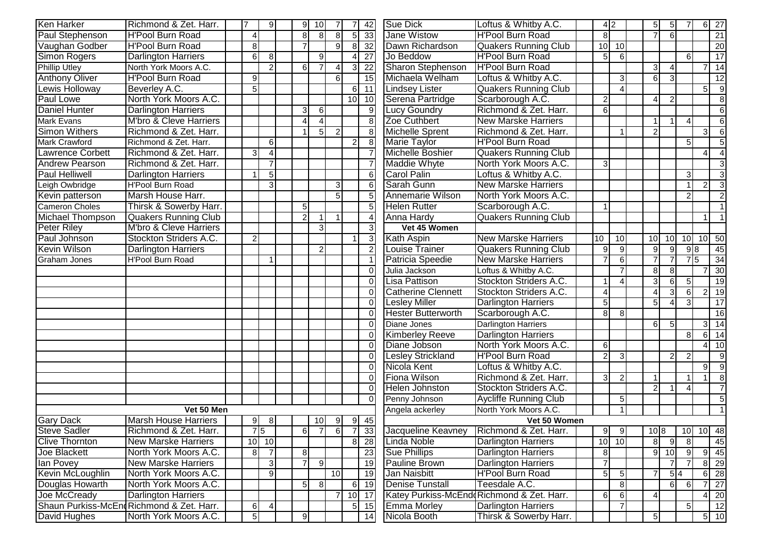| <b>Ken Harker</b>       | Richmond & Zet. Harr.                     | 17             | 9                       | 9              | 10 <sup>1</sup> | -7             | $\overline{7}$  | 42                | <b>Sue Dick</b>           | Loftus & Whitby A.C.                       | 4 2                    |                        |                 | 5 <sub>l</sub>   | 5 <sub>l</sub>  | 7                      |                | 6 27                                  |
|-------------------------|-------------------------------------------|----------------|-------------------------|----------------|-----------------|----------------|-----------------|-------------------|---------------------------|--------------------------------------------|------------------------|------------------------|-----------------|------------------|-----------------|------------------------|----------------|---------------------------------------|
| Paul Stephenson         | <b>H'Pool Burn Road</b>                   |                |                         | 8              | 8 <sup>1</sup>  | 8              | 5 <sub>l</sub>  | 33                | <b>Jane Wistow</b>        | <b>H'Pool Burn Road</b>                    | 8                      |                        |                 | $\overline{7}$   | 6               |                        |                | $\overline{21}$                       |
| Vaughan Godber          | H'Pool Burn Road                          | 8              |                         | $\overline{7}$ |                 | 9              | $\overline{8}$  | 32                | Dawn Richardson           | <b>Quakers Running Club</b>                | 10                     | 10                     |                 |                  |                 |                        |                | 20                                    |
| <b>Simon Rogers</b>     | <b>Darlington Harriers</b>                | 6              | 8                       |                | 9 <sub>l</sub>  |                | 4               | $\overline{27}$   | Jo Beddow                 | <b>H'Pool Burn Road</b>                    | 5                      | $6 \mid$               |                 |                  |                 | 6                      |                | $\overline{17}$                       |
| <b>Phillip Utley</b>    | North York Moors A.C.                     |                | $\overline{2}$          | 6              |                 | $\Delta$       | $\mathbf{3}$    | 22                | <b>Sharon Stephenson</b>  | <b>H'Pool Burn Road</b>                    |                        |                        |                 | $\overline{3}$   |                 |                        |                | $7 \overline{14}$                     |
| <b>Anthony Oliver</b>   | <b>H'Pool Burn Road</b>                   | 9              |                         |                |                 | 6              |                 | 15                | Michaela Welham           | Loftus & Whitby A.C.                       |                        | $\mathbf{3}$           |                 | $6 \overline{6}$ | $\mathcal{R}$   |                        |                | 12                                    |
| Lewis Holloway          | Beverley A.C.                             | 5              |                         |                |                 |                | $6 \mid$        | 11                | <b>Lindsey Lister</b>     | <b>Quakers Running Club</b>                |                        | $\overline{A}$         |                 |                  |                 |                        | 5 <sup>1</sup> | $\overline{9}$                        |
| Paul Lowe               | North York Moors A.C.                     |                |                         |                |                 |                | 10 <sup>1</sup> | 10                | Serena Partridge          | Scarborough A.C.                           | $\overline{2}$         |                        |                 | 4                |                 |                        |                | $\overline{8}$                        |
| <b>Daniel Hunter</b>    | <b>Darlington Harriers</b>                |                |                         | 3              | 6               |                |                 | 9                 | <b>Lucy Goundry</b>       | Richmond & Zet. Harr.                      | 6                      |                        |                 |                  |                 |                        |                | $\,6\,$                               |
| <b>Mark Evans</b>       | M'bro & Cleve Harriers                    |                |                         | $\Delta$       | $\Delta$        |                |                 | 8                 | Zoe Cuthbert              | <b>New Marske Harriers</b>                 |                        |                        |                 |                  |                 | $\boldsymbol{\Lambda}$ |                | $6 \mid$                              |
| <b>Simon Withers</b>    | Richmond & Zet. Harr.                     |                |                         | 1              | 5 <sup>1</sup>  | $\overline{2}$ |                 | 8                 | <b>Michelle Sprent</b>    | Richmond & Zet. Harr.                      |                        |                        |                 | $\overline{a}$   |                 |                        | 3I             | 6                                     |
| Mark Crawford           | Richmond & Zet. Harr.                     |                | $6 \mid$                |                |                 |                | $\overline{a}$  | 8                 | <b>Marie Taylor</b>       | <b>H'Pool Burn Road</b>                    |                        |                        |                 |                  |                 | 5                      |                | 5                                     |
| <b>Lawrence Corbett</b> | Richmond & Zet. Harr.                     | 3              | Δ                       |                |                 |                |                 |                   | Michelle Boshier          | <b>Quakers Running Club</b>                |                        |                        |                 |                  |                 |                        | $\overline{4}$ | $\overline{4}$                        |
| Andrew Pearson          | Richmond & Zet. Harr.                     |                | $\overline{7}$          |                |                 |                |                 |                   | Maddie Whyte              | North York Moors A.C.                      | 3                      |                        |                 |                  |                 |                        |                | $\mathbf{3}$                          |
| <b>Paul Helliwell</b>   | <b>Darlington Harriers</b>                |                | $\overline{5}$          |                |                 |                |                 | 6                 | <b>Carol Palin</b>        | Loftus & Whitby A.C.                       |                        |                        |                 |                  |                 | 3                      |                | $\overline{3}$                        |
| Leigh Owbridge          | H'Pool Burn Road                          |                | $\overline{3}$          |                |                 | 3              |                 | 6                 | Sarah Gunn                | <b>New Marske Harriers</b>                 |                        |                        |                 |                  |                 | $\overline{1}$         | $\overline{2}$ | $\mathbf{3}$                          |
| Kevin patterson         | Marsh House Harr.                         |                |                         |                |                 | 5              |                 | 5                 | Annemarie Wilson          | North York Moors A.C.                      |                        |                        |                 |                  |                 |                        |                |                                       |
| <b>Cameron Choles</b>   | Thirsk & Sowerby Harr.                    |                |                         | 5              |                 |                |                 | 5                 | <b>Helen Rutter</b>       | Scarborough A.C.                           |                        |                        |                 |                  |                 |                        |                |                                       |
| <b>Michael Thompson</b> | <b>Quakers Running Club</b>               |                |                         | $\overline{c}$ |                 |                |                 | $\overline{4}$    | Anna Hardy                | <b>Quakers Running Club</b>                |                        |                        |                 |                  |                 |                        |                |                                       |
| <b>Peter Riley</b>      | M'bro & Cleve Harriers                    |                |                         |                | $\overline{3}$  |                |                 | 3                 | Vet 45 Women              |                                            |                        |                        |                 |                  |                 |                        |                |                                       |
| Paul Johnson            | Stockton Striders A.C.                    | $\overline{2}$ |                         |                |                 |                | -1              | 3                 | Kath Aspin                | <b>New Marske Harriers</b>                 | 10                     | 10                     | 10 <sup>1</sup> |                  | 10 <sup>1</sup> | $10$ 10 50             |                |                                       |
| <b>Kevin Wilson</b>     | <b>Darlington Harriers</b>                |                |                         |                | $\overline{2}$  |                |                 | $\overline{2}$    | Louise Trainer            | <b>Quakers Running Club</b>                | $9\,$                  | 9                      |                 | 9                | $\mathbf{Q}$    | 98                     |                | 45                                    |
| <b>Graham Jones</b>     | <b>H'Pool Burn Road</b>                   |                | $\overline{\mathbf{1}}$ |                |                 |                |                 | $\overline{1}$    | Patricia Speedie          | <b>New Marske Harriers</b>                 | $\overline{7}$         | $6 \overline{6}$       |                 | $\overline{7}$   |                 | $7\overline{5}$        |                | 34                                    |
|                         |                                           |                |                         |                |                 |                |                 | $\Omega$          | Julia Jackson             | Loftus & Whitby A.C.                       |                        | $\overline{7}$         |                 | 8                | 8               |                        |                | $7 \overline{\smash{)}30}$            |
|                         |                                           |                |                         |                |                 |                |                 | $\Omega$          | <b>Lisa Pattison</b>      | Stockton Striders A.C.                     | $\mathbf 1$            | $\boldsymbol{\Lambda}$ |                 | 3                | $6 \mid$        | 5                      |                | $\overline{19}$                       |
|                         |                                           |                |                         |                |                 |                |                 | $\Omega$          | <b>Catherine Clennett</b> | Stockton Striders A.C.                     | $\boldsymbol{\Lambda}$ |                        |                 | $\Lambda$        |                 | $6\phantom{1}6$        |                | $2$ 19                                |
|                         |                                           |                |                         |                |                 |                |                 | $\Omega$          | <b>Lesley Miller</b>      | <b>Darlington Harriers</b>                 | 5                      |                        |                 | 5 <sup>1</sup>   |                 | 3                      |                | $\overline{17}$                       |
|                         |                                           |                |                         |                |                 |                |                 | $\Omega$          | <b>Hester Butterworth</b> | Scarborough A.C.                           | 8                      | 8                      |                 |                  |                 |                        |                | 16                                    |
|                         |                                           |                |                         |                |                 |                |                 | $\Omega$          | Diane Jones               | <b>Darlington Harriers</b>                 |                        |                        |                 | 6                |                 |                        |                | $3 \mid 14$                           |
|                         |                                           |                |                         |                |                 |                |                 | $\Omega$          | <b>Kimberley Reeve</b>    | <b>Darlington Harriers</b>                 |                        |                        |                 |                  |                 | 8                      |                | $6 \overline{\smash{)}\phantom{0}14}$ |
|                         |                                           |                |                         |                |                 |                |                 | $\Omega$          | Diane Jobson              | North York Moors A.C.                      | 6                      |                        |                 |                  |                 |                        | 41             | 10                                    |
|                         |                                           |                |                         |                |                 |                |                 | $\Omega$          | <b>Lesley Strickland</b>  | <b>H'Pool Burn Road</b>                    | $\overline{2}$         | 3                      |                 |                  |                 | $\overline{2}$         |                | $\overline{9}$                        |
|                         |                                           |                |                         |                |                 |                |                 | $\Omega$          | Nicola Kent               | Loftus & Whitby A.C.                       |                        |                        |                 |                  |                 |                        | 9              | $\overline{9}$                        |
|                         |                                           |                |                         |                |                 |                |                 | $\Omega$          | <b>Fiona Wilson</b>       | Richmond & Zet. Harr.                      | 3                      | $\mathcal{P}$          |                 |                  |                 |                        |                | 8                                     |
|                         |                                           |                |                         |                |                 |                |                 | $\Omega$          | Helen Johnston            | Stockton Striders A.C.                     |                        |                        |                 | 2                |                 |                        |                | $\overline{7}$                        |
|                         |                                           |                |                         |                |                 |                |                 | $\Omega$          | Penny Johnson             | <b>Aycliffe Running Club</b>               |                        | 5 <sub>5</sub>         |                 |                  |                 |                        |                | 5                                     |
|                         | Vet 50 Men                                |                |                         |                |                 |                |                 |                   | Angela ackerley           | North York Moors A.C.                      |                        |                        |                 |                  |                 |                        |                |                                       |
| <b>Gary Dack</b>        | <b>Marsh House Harriers</b>               | 9              | 8 <sup>1</sup>          |                | 10 <sub>l</sub> | 9              | 9               | 45                |                           | Vet 50 Women                               |                        |                        |                 |                  |                 |                        |                |                                       |
| <b>Steve Sadler</b>     | Richmond & Zet. Harr.                     |                | $\overline{7}$ 5        | 6              | $\overline{7}$  | 6              |                 | $7 \overline{33}$ |                           | Jacqueline Keavney   Richmond & Zet. Harr. | 9                      | 9                      |                 |                  |                 | $10 8$   10   10   48  |                |                                       |
| <b>Clive Thornton</b>   | New Marske Harriers                       |                | $10$ 10                 |                |                 |                | 8 <sup>1</sup>  | 28                | Linda Noble               | Darlington Harriers                        |                        | $10$ 10                |                 | 8 <sup>1</sup>   | 9               | $\frac{1}{8}$          |                | 45                                    |
| Joe Blackett            | North York Moors A.C.                     | 8              | $\overline{7}$          | 8 <sup>1</sup> |                 |                |                 | 23                | <b>Sue Phillips</b>       | <b>Darlington Harriers</b>                 | 8                      |                        |                 |                  | $9 \ 10 \ 9$    |                        |                | $9 \overline{45}$                     |
| lan Povey               | <b>New Marske Harriers</b>                |                | $\lvert 3 \rvert$       | $\overline{7}$ | $9 \mid$        |                |                 | 19                | Pauline Brown             | <b>Darlington Harriers</b>                 | $\overline{7}$         |                        |                 |                  |                 | $\overline{7}$         |                | 8 29                                  |
| Kevin McLoughlin        | North York Moors A.C.                     |                | $\vert 9 \vert$         |                |                 | 10             |                 | 19                | Jan Naisbitt              | <b>H'Pool Burn Road</b>                    | 5                      | 5 <sub>l</sub>         |                 |                  | 5 4             |                        |                | 6 28                                  |
| Douglas Howarth         | North York Moors A.C.                     |                |                         | 5 <sub>5</sub> | 8 <sup>1</sup>  |                | 6               | 19                | Denise Tunstall           | Teesdale A.C.                              |                        | 8 <sub>l</sub>         |                 |                  | 6I              | 6                      |                | $7 \overline{\smash{\big)}\ 27}$      |
| Joe McCready            | Darlington Harriers                       |                |                         |                |                 | -7             | 10              | 17                |                           | Katey Purkiss-McEnd Richmond & Zet. Harr.  | 6                      | $6 \mid$               |                 | 4                |                 |                        |                | 4 20                                  |
|                         | Shaun Purkiss-McEnd Richmond & Zet. Harr. | 6              |                         |                |                 |                | 5 <sub>l</sub>  | 15                | <b>Emma Morley</b>        | <b>Darlington Harriers</b>                 |                        |                        |                 |                  |                 | 5                      |                | 12                                    |
| David Hughes            | North York Moors A.C.                     | $5 \vert$      |                         | 9              |                 |                |                 | 14                | Nicola Booth              | Thirsk & Sowerby Harr.                     |                        |                        |                 | 5 <sub>l</sub>   |                 |                        |                | $\overline{5}$ 10                     |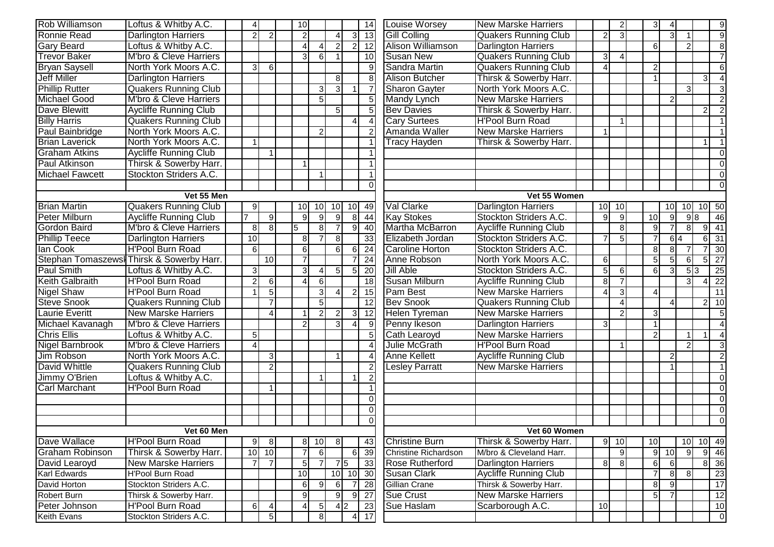| <b>Rob Williamson</b>  | Loftus & Whitby A.C.                      | 4               |                | 10             |                 |                |                   | 14              | <b>Louise Worsey</b>        | <b>New Marske Harriers</b>   |                          | $\overline{2}$ | 3                      |                  |                  |                | 9               |
|------------------------|-------------------------------------------|-----------------|----------------|----------------|-----------------|----------------|-------------------|-----------------|-----------------------------|------------------------------|--------------------------|----------------|------------------------|------------------|------------------|----------------|-----------------|
| <b>Ronnie Read</b>     | <b>Darlington Harriers</b>                |                 |                | $\overline{2}$ |                 |                | зı                | 13              | <b>Gill Colling</b>         | <b>Quakers Running Club</b>  | $\overline{2}$           | 3              |                        | $\mathbf{3}$     |                  |                | 9               |
| <b>Gary Beard</b>      | Loftus & Whitby A.C.                      |                 |                | $\overline{4}$ |                 | $\overline{2}$ | $\overline{2}$    | $\overline{12}$ | Alison Williamson           | <b>Darlington Harriers</b>   |                          |                | 6                      |                  | $\overline{2}$   |                | 8               |
| <b>Trevor Baker</b>    | M'bro & Cleve Harriers                    |                 |                | 3 <sup>l</sup> | $6 \mid$        |                |                   | 10              | <b>Susan New</b>            | <b>Quakers Running Club</b>  | دی                       | 4              |                        |                  |                  |                | $\overline{7}$  |
| <b>Bryan Saysell</b>   | North York Moors A.C.                     | $\mathbf{3}$    | $6 \mid$       |                |                 |                |                   | 9               | Sandra Martin               | <b>Quakers Running Club</b>  | $\overline{4}$           |                | $\overline{2}$         |                  |                  |                | $6 \mid$        |
| <b>Jeff Miller</b>     | <b>Darlington Harriers</b>                |                 |                |                |                 | 8              |                   | 8               | <b>Alison Butcher</b>       | Thirsk & Sowerby Harr.       |                          |                |                        |                  |                  | $\mathbf{3}$   | $\vert$         |
| <b>Phillip Rutter</b>  | <b>Quakers Running Club</b>               |                 |                |                | 3               | $\overline{3}$ |                   | $\overline{7}$  | <b>Sharon Gayter</b>        | North York Moors A.C.        |                          |                |                        |                  | $\overline{3}$   |                | 3               |
| <b>Michael Good</b>    | M'bro & Cleve Harriers                    |                 |                |                | 5 <sub>l</sub>  |                |                   | $\overline{5}$  | <b>Mandy Lynch</b>          | <b>New Marske Harriers</b>   |                          |                |                        | $\overline{2}$   |                  |                | $\overline{2}$  |
| <b>Dave Blewitt</b>    | <b>Aycliffe Running Club</b>              |                 |                |                |                 | 5              |                   | 5               | <b>Bev Davies</b>           | Thirsk & Sowerby Harr.       |                          |                |                        |                  |                  | 2              | $\overline{2}$  |
| <b>Billy Harris</b>    | <b>Quakers Running Club</b>               |                 |                |                |                 |                | 4                 | $\overline{4}$  | <b>Cary Surtees</b>         | <b>H'Pool Burn Road</b>      |                          |                |                        |                  |                  |                | 1               |
| Paul Bainbridge        | North York Moors A.C.                     |                 |                |                | $\overline{2}$  |                |                   | $\overline{2}$  | Amanda Waller               | <b>New Marske Harriers</b>   |                          |                |                        |                  |                  |                | $\vert$ 1       |
| <b>Brian Laverick</b>  | North York Moors A.C.                     | -1              |                |                |                 |                |                   |                 | <b>Tracy Hayden</b>         | Thirsk & Sowerby Harr.       |                          |                |                        |                  |                  | $\mathbf{1}$   | $\vert$ 1       |
| <b>Graham Atkins</b>   | <b>Aycliffe Running Club</b>              |                 |                |                |                 |                |                   |                 |                             |                              |                          |                |                        |                  |                  |                | $\overline{0}$  |
| Paul Atkinson          | Thirsk & Sowerby Harr.                    |                 |                | 1              |                 |                |                   |                 |                             |                              |                          |                |                        |                  |                  |                | $\overline{0}$  |
| <b>Michael Fawcett</b> | Stockton Striders A.C.                    |                 |                |                |                 |                |                   |                 |                             |                              |                          |                |                        |                  |                  |                | $\overline{0}$  |
|                        |                                           |                 |                |                |                 |                |                   | $\Omega$        |                             |                              |                          |                |                        |                  |                  |                | $\overline{0}$  |
|                        | Vet 55 Men                                |                 |                |                |                 |                |                   |                 |                             | Vet 55 Women                 |                          |                |                        |                  |                  |                |                 |
| <b>Brian Martin</b>    | <b>Quakers Running Club</b>               | 9               |                | 10             | 10 <sup>1</sup> | 10             | 10                | 49              | Val Clarke                  | <b>Darlington Harriers</b>   | 10                       | 10             |                        | 10               |                  | 10 10 50       |                 |
| Peter Milburn          | <b>Aycliffe Running Club</b>              |                 | $\overline{9}$ | 9              | $\overline{9}$  | 9 <sub>l</sub> | 8                 | 44              | <b>Kay Stokes</b>           | Stockton Striders A.C.       | 9                        | 9              | 10                     | 9                | 98               |                | 46              |
| <b>Gordon Baird</b>    | M'bro & Cleve Harriers                    | 8               | 8 <sup>°</sup> | 5              | 8 <sup>1</sup>  |                | 9                 | 40              | Martha McBarron             | <b>Aycliffe Running Club</b> |                          | 8              | 9                      |                  | 8                | 91             | 41              |
| <b>Phillip Teece</b>   | <b>Darlington Harriers</b>                | $\overline{10}$ |                | $\infty$       |                 | 8              |                   | 33              | Elizabeth Jordan            | Stockton Striders A.C.       | $\overline{7}$           | 5              |                        | $6\overline{4}$  |                  | 61             | $\overline{31}$ |
| lan Cook               | <b>H'Pool Burn Road</b>                   | 6               |                | 6              |                 | $6 \,$         | 6                 | 24              | <b>Caroline Horton</b>      | Stockton Striders A.C.       |                          |                | 8                      | 8                |                  |                | 30              |
|                        | Stephan Tomaszews  Thirsk & Sowerby Harr. |                 | 10             | $\overline{7}$ |                 |                | 7                 | 24              | Anne Robson                 | North York Moors A.C.        | 6                        |                | 5                      |                  | $6 \overline{6}$ | 5 <sup>1</sup> | 27              |
| <b>Paul Smith</b>      | Loftus & Whitby A.C.                      | $\overline{3}$  |                | $\overline{3}$ |                 | 5 <sub>l</sub> | 5 <sub>l</sub>    | $\overline{20}$ | Jill Able                   | Stockton Striders A.C.       | $\overline{5}$           | 6              | 6                      | $\mathcal{E}$    | 53               |                | 25              |
| <b>Keith Galbraith</b> | <b>H'Pool Burn Road</b>                   | $\overline{2}$  | $6 \mid$       | $\overline{4}$ | 6 <sup>1</sup>  |                |                   | $\overline{18}$ | Susan Milburn               | <b>Aycliffe Running Club</b> | $\overline{8}$           |                |                        |                  | $\overline{3}$   | 4              | 22              |
| <b>Nigel Shaw</b>      | <b>H'Pool Burn Road</b>                   |                 | 5 <sup>1</sup> |                | $\overline{3}$  | $\Delta$       | $\overline{2}$    | 15              | Pam Best                    | <b>New Marske Harriers</b>   | $\boldsymbol{\varDelta}$ |                | $\boldsymbol{\Lambda}$ |                  |                  |                | 11              |
| <b>Steve Snook</b>     | <b>Quakers Running Club</b>               |                 |                |                | 5 <sup>1</sup>  |                |                   | $\overline{12}$ | <b>Bev Snook</b>            | <b>Quakers Running Club</b>  |                          |                |                        |                  |                  | 2 <sub>1</sub> | 10              |
| <b>Laurie Everitt</b>  | <b>New Marske Harriers</b>                |                 | Δ              |                | $\mathcal{P}$   | $\overline{2}$ | $\overline{3}$    | $\overline{12}$ | <b>Helen Tyreman</b>        | <b>New Marske Harriers</b>   |                          | $\overline{2}$ | 3                      |                  |                  |                | 5               |
| Michael Kavanagh       | M'bro & Cleve Harriers                    |                 |                | $\overline{2}$ |                 | $\mathcal{E}$  |                   | $\overline{9}$  | Penny Ikeson                | <b>Darlington Harriers</b>   | 3                        |                |                        |                  |                  |                | $\vert$         |
| <b>Chris Ellis</b>     | Loftus & Whitby A.C.                      | 5               |                |                |                 |                |                   | 5               | Cath Learoyd                | <b>New Marske Harriers</b>   |                          |                | 2                      |                  |                  | $\mathbf{1}$   | $\vert$         |
| <b>Nigel Barnbrook</b> | M'bro & Cleve Harriers                    | Δ               |                |                |                 |                |                   | 4               | Julie McGrath               | <b>H'Pool Burn Road</b>      |                          |                |                        |                  | $\overline{2}$   |                | 3               |
| Jim Robson             | North York Moors A.C.                     |                 | $\mathbf{3}$   |                |                 |                |                   | 4               | <b>Anne Kellett</b>         | <b>Aycliffe Running Club</b> |                          |                |                        | 2                |                  |                | $\overline{2}$  |
| David Whittle          | <b>Quakers Running Club</b>               |                 | $\overline{c}$ |                |                 |                |                   | $\overline{2}$  | Lesley Parratt              | <b>New Marske Harriers</b>   |                          |                |                        |                  |                  |                | $\vert$ 1       |
| Jimmy O'Brien          | Loftus & Whitby A.C.                      |                 |                |                |                 |                |                   |                 |                             |                              |                          |                |                        |                  |                  |                | 0               |
| <b>Carl Marchant</b>   | <b>H'Pool Burn Road</b>                   |                 |                |                |                 |                |                   |                 |                             |                              |                          |                |                        |                  |                  |                | $\overline{0}$  |
|                        |                                           |                 |                |                |                 |                |                   | $\overline{0}$  |                             |                              |                          |                |                        |                  |                  |                | $\overline{0}$  |
|                        |                                           |                 |                |                |                 |                |                   | $\overline{0}$  |                             |                              |                          |                |                        |                  |                  |                | $\overline{0}$  |
|                        |                                           |                 |                |                |                 |                |                   | $\overline{0}$  |                             |                              |                          |                |                        |                  |                  |                | $\Omega$        |
|                        | Vet 60 Men                                |                 |                |                |                 |                |                   |                 |                             | Vet 60 Women                 |                          |                |                        |                  |                  |                |                 |
| Dave Wallace           | H'Pool Burn Road                          | 9               | 8              |                | $8$ 10          | $8 \mid$       |                   | 43              | <b>Christine Burn</b>       | Thirsk & Sowerby Harr.       |                          | 9 10           | 10                     |                  |                  | 10 10 49       |                 |
| Graham Robinson        | Thirsk & Sowerby Harr.                    |                 | $10$ 10        | $\overline{7}$ | 6               |                | $6 \mid$          | 39              | <b>Christine Richardson</b> | M/bro & Cleveland Harr.      |                          | 9              |                        | $9$ 10           | - 9              |                | $9 \mid 46$     |
| David Learoyd          | <b>New Marske Harriers</b>                | $\overline{7}$  | $\overline{7}$ | 5 <sub>l</sub> | $\overline{7}$  |                | $7\overline{5}$   | 33              | <b>Rose Rutherford</b>      | <b>Darlington Harriers</b>   | 8 <sup>1</sup>           | 8 <sup>1</sup> | 6                      | $6 \overline{6}$ |                  |                | 8 36            |
| Karl Edwards           | H'Pool Burn Road                          |                 |                | 10             |                 |                |                   | 10 10 30        | <b>Susan Clark</b>          | <b>Aycliffe Running Club</b> |                          |                | $\overline{7}$         | 8I               | 8                |                | 23              |
| David Horton           | Stockton Striders A.C.                    |                 |                | $6 \mid$       | 9               | 6              |                   | 28              | Gillian Crane               | Thirsk & Sowerby Harr.       |                          |                | 8                      | 9 <sub>l</sub>   |                  |                | 17              |
| Robert Burn            | Thirsk & Sowerby Harr.                    |                 |                | 9 <sub>l</sub> |                 | 9              | 9                 | 27              | <b>Sue Crust</b>            | <b>New Marske Harriers</b>   |                          |                | 5 <sub>l</sub>         |                  |                  |                | 12              |
| Peter Johnson          | <b>H'Pool Burn Road</b>                   | 6               | 4              | $\overline{4}$ | 5               |                | $\overline{4}$  2 | 23              | Sue Haslam                  | Scarborough A.C.             | 10                       |                |                        |                  |                  |                | 10              |
| Keith Evans            | Stockton Striders A.C.                    |                 | 5              |                | 8 <sup>1</sup>  |                |                   | 17              |                             |                              |                          |                |                        |                  |                  |                | 0               |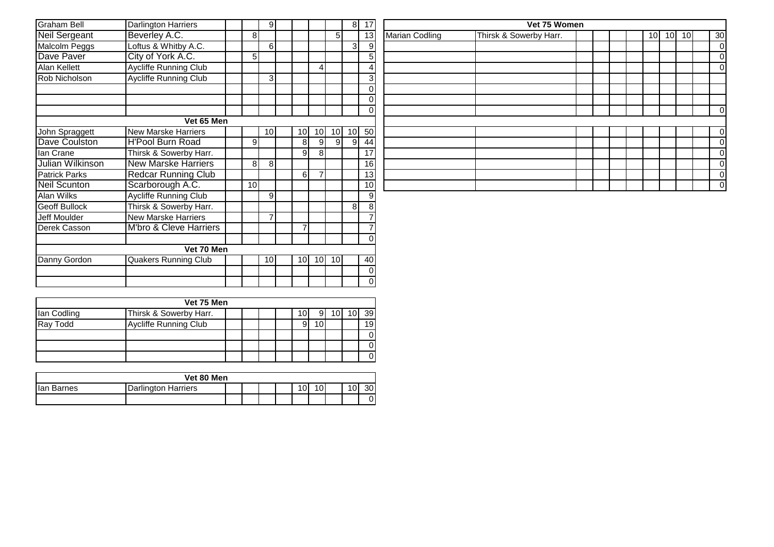| Graham Bell          | Darlington Harriers               |                 | $\overline{9}$  |                |    |    | 8  | 17 <sup>1</sup> |
|----------------------|-----------------------------------|-----------------|-----------------|----------------|----|----|----|-----------------|
| <b>Neil Sergeant</b> | Beverley A.C.                     | 8               |                 |                |    | 5  |    | 13              |
| Malcolm Peggs        | Loftus & Whitby A.C.              |                 | 6               |                |    |    | 3  | $\overline{9}$  |
| Dave Paver           | City of York A.C.                 | 5               |                 |                |    |    |    | 5               |
| Alan Kellett         | <b>Aycliffe Running Club</b>      |                 |                 |                | 4  |    |    | $\overline{4}$  |
| Rob Nicholson        | <b>Aycliffe Running Club</b>      |                 | 3               |                |    |    |    | $\overline{3}$  |
|                      |                                   |                 |                 |                |    |    |    | 0<br>0          |
|                      |                                   |                 |                 |                |    |    |    | $\mathbf{0}$    |
|                      | Vet 65 Men                        |                 |                 |                |    |    |    |                 |
| John Spraggett       | <b>New Marske Harriers</b>        |                 | 10 <sup>1</sup> | 10             | 10 | 10 | 10 | 50              |
| Dave Coulston        | <b>H'Pool Burn Road</b>           | 9               |                 | 8              | 9  | 9  | 9  | 44              |
| lan Crane            | Thirsk & Sowerby Harr.            |                 |                 | 9              | 8  |    |    | 17              |
| Julian Wilkinson     | <b>New Marske Harriers</b>        | 8               | 8               |                |    |    |    | 16              |
| <b>Patrick Parks</b> | <b>Redcar Running Club</b>        |                 |                 | 6              | 7  |    |    | 13              |
| <b>Neil Scunton</b>  | Scarborough A.C.                  | 10 <sup>1</sup> |                 |                |    |    |    | 10 <sup>1</sup> |
| Alan Wilks           | <b>Aycliffe Running Club</b>      |                 | 9               |                |    |    |    | 9               |
| Geoff Bullock        | Thirsk & Sowerby Harr.            |                 |                 |                |    |    | 8  | $\overline{8}$  |
| Jeff Moulder         | <b>New Marske Harriers</b>        |                 | $\overline{7}$  |                |    |    |    | $\overline{7}$  |
| Derek Casson         | <b>M'bro &amp; Cleve Harriers</b> |                 |                 | $\overline{7}$ |    |    |    | $\overline{7}$  |
|                      |                                   |                 |                 |                |    |    |    | 0               |
|                      | Vet 70 Men                        |                 |                 |                |    |    |    |                 |
| Danny Gordon         | <b>Quakers Running Club</b>       |                 | 10 <sup>1</sup> | 10             | 10 | 10 |    | 40              |
|                      |                                   |                 |                 |                |    |    |    | 0               |
|                      |                                   |                 |                 |                |    |    |    | 0               |

|             | Vet 75 Men                   |  |  |  |  |  |  |  |  |                 |  |  |
|-------------|------------------------------|--|--|--|--|--|--|--|--|-----------------|--|--|
| Ian Codling | Thirsk & Sowerby Harr.       |  |  |  |  |  |  |  |  | 39 <sup>°</sup> |  |  |
| Ray Todd    | <b>Aycliffe Running Club</b> |  |  |  |  |  |  |  |  | 19 <sup>l</sup> |  |  |
|             |                              |  |  |  |  |  |  |  |  | 0               |  |  |
|             |                              |  |  |  |  |  |  |  |  | 01              |  |  |
|             |                              |  |  |  |  |  |  |  |  | 01              |  |  |

|            | Vet 80 Men          |  |  |  |  |   |             |  |   |    |  |  |
|------------|---------------------|--|--|--|--|---|-------------|--|---|----|--|--|
| lan Barnes | Jarlington Harriers |  |  |  |  | 0 | $\sim$<br>υ |  | 0 | 30 |  |  |
|            |                     |  |  |  |  |   |             |  |   | 0  |  |  |

|                | 8 <sup>1</sup>  | 17              |                       | Vet 75 Women           |  |  |                 |    |                 |                 |
|----------------|-----------------|-----------------|-----------------------|------------------------|--|--|-----------------|----|-----------------|-----------------|
| 5              |                 | 13              | <b>Marian Codling</b> | Thirsk & Sowerby Harr. |  |  | 10 <sub>l</sub> | 10 | 10 <sup>1</sup> | 30 <sub>l</sub> |
|                | 3               | $\overline{9}$  |                       |                        |  |  |                 |    |                 | $\overline{O}$  |
|                |                 | 5 <sup>5</sup>  |                       |                        |  |  |                 |    |                 | $\overline{O}$  |
|                |                 | $\vert$         |                       |                        |  |  |                 |    |                 | $\overline{O}$  |
|                |                 | $\overline{3}$  |                       |                        |  |  |                 |    |                 |                 |
|                |                 | $\overline{0}$  |                       |                        |  |  |                 |    |                 |                 |
|                |                 | $\vert 0 \vert$ |                       |                        |  |  |                 |    |                 |                 |
|                |                 | $\overline{0}$  |                       |                        |  |  |                 |    |                 | $\overline{O}$  |
|                |                 |                 |                       |                        |  |  |                 |    |                 |                 |
| 0              | 10 <sup>1</sup> | 50              |                       |                        |  |  |                 |    |                 | $\overline{O}$  |
| $\overline{9}$ | 9               | 44              |                       |                        |  |  |                 |    |                 | $\overline{0}$  |
|                |                 | 17              |                       |                        |  |  |                 |    |                 | $\overline{O}$  |
|                |                 | 16              |                       |                        |  |  |                 |    |                 | $\overline{O}$  |
|                |                 | 13              |                       |                        |  |  |                 |    |                 | $\overline{O}$  |
|                |                 | 10 <sup>1</sup> |                       |                        |  |  |                 |    |                 | $\overline{0}$  |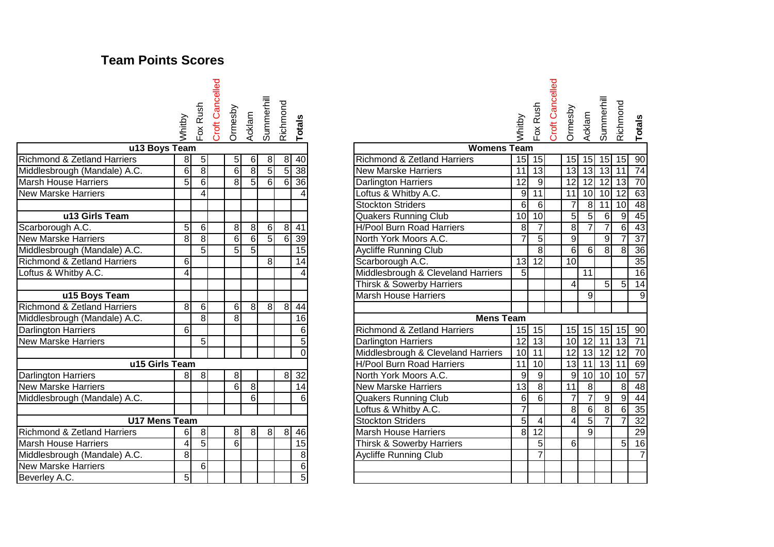## **Team Points Scores**

Whitby Fox Rush<br>Croft Cancelled Croft Cancelled Ormesby Acklam<br>Summerhill Summerhill Richmond **Totals**

| u13 Boys Team                          |                 |                |                |                |                |                |                 |
|----------------------------------------|-----------------|----------------|----------------|----------------|----------------|----------------|-----------------|
| <b>Richmond &amp; Zetland Harriers</b> | 8               | 5              | 5              | 6              | 8              | 8              | 40              |
| Middlesbrough (Mandale) A.C.           | 6               | $\overline{8}$ | 6              | 8              | 5              | 5              | $\overline{38}$ |
| Marsh House Harriers                   | 5 <sup>1</sup>  | 6              | 8              | 5              | 6              | 6 <sup>1</sup> | 36              |
| <b>New Marske Harriers</b>             |                 | 4              |                |                |                |                | 4               |
|                                        |                 |                |                |                |                |                |                 |
| u13 Girls Team                         |                 |                |                |                |                |                |                 |
| Scarborough A.C.                       | $\overline{5}$  | $\overline{6}$ | 8              | 8              | 6              | 8              | 41              |
| <b>New Marske Harriers</b>             | $\mathbf{8}$    | 8              | 6              | $\overline{6}$ | $\overline{5}$ | 6              | 39              |
| Middlesbrough (Mandale) A.C.           |                 | $\overline{5}$ | $\overline{5}$ | $\overline{5}$ |                |                | $\overline{15}$ |
| Richmond & Zetland Harriers            | $6 \mid$        |                |                |                | 8              |                | 14              |
| Loftus & Whitby A.C.                   | $\overline{4}$  |                |                |                |                |                | $\overline{4}$  |
|                                        |                 |                |                |                |                |                |                 |
| u15 Boys Team                          |                 |                |                |                |                |                |                 |
| Richmond & Zetland Harriers            | 8               | 6              | 6              | 8              | 8              | 8              | 44              |
| Middlesbrough (Mandale) A.C.           |                 | 8              | 8              |                |                |                | 16              |
| Darlington Harriers                    | 6               |                |                |                |                |                | 6               |
| <b>New Marske Harriers</b>             |                 | $\overline{5}$ |                |                |                |                | $\overline{5}$  |
|                                        |                 |                |                |                |                |                | $\overline{0}$  |
| u15 Girls Team                         |                 |                |                |                |                |                |                 |
| Darlington Harriers                    | 8               | 8              | 8              |                |                | 8              | 32              |
| <b>New Marske Harriers</b>             |                 |                | 6              | 8              |                |                | 14              |
| Middlesbrough (Mandale) A.C.           |                 |                |                | 6              |                |                | 6               |
|                                        |                 |                |                |                |                |                |                 |
| <b>U17 Mens Team</b>                   |                 |                |                |                |                |                |                 |
| Richmond & Zetland Harriers            | 6               | 8              | 8              | 8              | 8              | 8              | 46              |
| <b>Marsh House Harriers</b>            | $\vert 4 \vert$ | $\overline{5}$ | 6              |                |                |                | 15              |
| Middlesbrough (Mandale) A.C.           | 8               |                |                |                |                |                | 8               |
| <b>New Marske Harriers</b>             |                 | 6              |                |                |                |                | $6\overline{6}$ |
| Beverley A.C.                          | 5 <sup>1</sup>  |                |                |                |                |                | $\overline{5}$  |

### Whitby Fox Rush Croft Cancelled Ormesby Acklam<br>Summerhill Summerhill Richmond

|                                        | Whitby          |                | Fox Rus<br>Croft Ca<br>Ormesb<br>Acklam |                  | Summe<br>Richmol    |                | Totals          |                                        | Whitby          | ា<br>ក<br>Fox   | Croft Ca | Ormesb          | Acklam         | Summe          | Richmo                                          | Totals          |
|----------------------------------------|-----------------|----------------|-----------------------------------------|------------------|---------------------|----------------|-----------------|----------------------------------------|-----------------|-----------------|----------|-----------------|----------------|----------------|-------------------------------------------------|-----------------|
| u13 Boys Team                          |                 |                |                                         |                  |                     |                |                 | <b>Womens Team</b>                     |                 |                 |          |                 |                |                |                                                 |                 |
| <b>Richmond &amp; Zetland Harriers</b> | 8               | 5 <sub>l</sub> | 51                                      | 6                | 8 <sup>1</sup>      |                | $8 \mid 40$     | <b>Richmond &amp; Zetland Harriers</b> |                 | $15$ 15         |          |                 | $15$   15      | 15             |                                                 | $15$ 90         |
| Middlesbrough (Mandale) A.C.           | 6               | 8              | 6                                       | 8 <sup>1</sup>   | 5 <sub>l</sub>      | 5 <sup>1</sup> | 38              | <b>New Marske Harriers</b>             | 11              | $\overline{13}$ |          | 13              |                | $13$ 13        | 11                                              | $\overline{74}$ |
| Marsh House Harriers                   | 5 <sup>1</sup>  | 6              | 8 <sup>1</sup>                          | 5 <sup>1</sup>   | $6 \mid$            | $6 \mid$       | $\overline{36}$ | <b>Darlington Harriers</b>             | $\overline{12}$ | $\overline{9}$  |          | 12              |                |                | $\overline{12}$ $\overline{12}$ $\overline{13}$ | 70              |
| <b>New Marske Harriers</b>             |                 | 4              |                                         |                  |                     |                |                 | Loftus & Whitby A.C.                   | 9               | 11              |          | 11              | $10$ 10 $12$   |                |                                                 | 63              |
|                                        |                 |                |                                         |                  |                     |                |                 | <b>Stockton Striders</b>               | 6               | $\overline{6}$  |          | $\overline{7}$  |                | $8 \mid 11$    | 10 <sup>1</sup>                                 | $\overline{48}$ |
| u13 Girls Team                         |                 |                |                                         |                  |                     |                |                 | <b>Quakers Running Club</b>            | 10 <sup>1</sup> | $\overline{10}$ |          | $\overline{5}$  | $\overline{5}$ | $6 \mid$       | 9 <sub>l</sub>                                  | 45              |
| Scarborough A.C.                       | 5               | $6 \mid$       | 8                                       | 8                | $6 \mid$            | 8 <sup>1</sup> | 41              | <b>H/Pool Burn Road Harriers</b>       | 8               | $\overline{7}$  |          | $\overline{8}$  | $\overline{7}$ | $\overline{7}$ | 6                                               | $\overline{43}$ |
| <b>New Marske Harriers</b>             | 8               | $\overline{8}$ | $6 \mid$                                | $6 \overline{6}$ | 5                   | $6 \mid$       | 39              | North York Moors A.C.                  |                 | 5               |          | 9               |                | g              |                                                 | $\overline{37}$ |
| Middlesbrough (Mandale) A.C.           |                 | $\overline{5}$ | 5 <sup>1</sup>                          | $5 \overline{5}$ |                     |                | $\overline{15}$ | <b>Aycliffe Running Club</b>           |                 | $\overline{8}$  |          | $6\overline{6}$ | $6 \mid$       | 8              | 8 <sub>1</sub>                                  | 36              |
| <b>Richmond &amp; Zetland Harriers</b> | 6               |                |                                         |                  | 8                   |                | 14              | Scarborough A.C.                       | 13              | 12              |          | 10              |                |                |                                                 | 35              |
| Loftus & Whitby A.C.                   | $\vert 4 \vert$ |                |                                         |                  |                     |                |                 | Middlesbrough & Cleveland Harriers     | $\overline{5}$  |                 |          |                 | 11             |                |                                                 | 16              |
|                                        |                 |                |                                         |                  |                     |                |                 | Thirsk & Sowerby Harriers              |                 |                 |          | 4               |                | 5 <sup>1</sup> | 5                                               | $\overline{14}$ |
| u15 Boys Team                          |                 |                |                                         |                  |                     |                |                 | <b>Marsh House Harriers</b>            |                 |                 |          |                 | $\overline{9}$ |                |                                                 | 9               |
| <b>Richmond &amp; Zetland Harriers</b> | 8               | 6              | 6                                       | 8 <sup>1</sup>   | $\overline{\infty}$ | 8 <sup>1</sup> | $\overline{44}$ |                                        |                 |                 |          |                 |                |                |                                                 |                 |
| Middlesbrough (Mandale) A.C.           |                 | 8              | 8 <sup>1</sup>                          |                  |                     |                | 16              | <b>Mens Team</b>                       |                 |                 |          |                 |                |                |                                                 |                 |
| Darlington Harriers                    | 6 <sup>1</sup>  |                |                                         |                  |                     |                | 6               | <b>Richmond &amp; Zetland Harriers</b> | 15              | 15              |          |                 | $15$ 15 15     |                | $15$ 90                                         |                 |
| <b>New Marske Harriers</b>             |                 | 5              |                                         |                  |                     |                | 5               | <b>Darlington Harriers</b>             | $\overline{12}$ | $\overline{3}$  |          | 10 <sup>1</sup> | $12$ 11        |                | 13                                              | $\overline{71}$ |
|                                        |                 |                |                                         |                  |                     |                | $\Omega$        | Middlesbrough & Cleveland Harriers     | 10 <sup>1</sup> | 11              |          | 12              |                | $13$ 12        | 12                                              | 70              |
| u15 Girls Team                         |                 |                |                                         |                  |                     |                |                 | <b>H/Pool Burn Road Harriers</b>       | 11              | 10              |          | 13              |                |                | $11$ 13 $11$                                    | 69              |
| Darlington Harriers                    | 81              | 8              | 8 <sup>1</sup>                          |                  |                     | 8 <sup>1</sup> | 32              | North York Moors A.C.                  | 9               | 9               |          | 9               |                | $10$ 10        | 10 <sup>1</sup>                                 | 57              |
| <b>New Marske Harriers</b>             |                 |                | 6                                       | 8                |                     |                | 14              | <b>New Marske Harriers</b>             | 13              | $\overline{8}$  |          | 11              | 8              |                | 8 <sup>1</sup>                                  | 48              |
| Middlesbrough (Mandale) A.C.           |                 |                |                                         | 6                |                     |                | 6               | Quakers Running Club                   | 6               | $\overline{6}$  |          | $\overline{7}$  | $\overline{7}$ | 9 <sub>l</sub> | 9                                               | 44              |
|                                        |                 |                |                                         |                  |                     |                |                 | Loftus & Whitby A.C.                   | $\overline{7}$  |                 |          | $\overline{8}$  | 6 <sup>1</sup> | $\overline{8}$ | 6 <sup>1</sup>                                  | 35              |
| <b>U17 Mens Team</b>                   |                 |                |                                         |                  |                     |                |                 | <b>Stockton Striders</b>               | 5 <sup>1</sup>  | 4               |          | 4               | 5 <sup>1</sup> | $\overline{7}$ |                                                 | $\overline{32}$ |
| <b>Richmond &amp; Zetland Harriers</b> | 61              | 8 <sup>1</sup> | 8 <sup>1</sup>                          | 8 <sup>1</sup>   | 8                   | 8 <sup>1</sup> | 46              | <b>Marsh House Harriers</b>            | $\overline{8}$  | $\overline{12}$ |          |                 | $\overline{9}$ |                |                                                 | 29              |
| <b>Marsh House Harriers</b>            | 4               | 5 <sup>1</sup> | $6 \mid$                                |                  |                     |                | $\overline{15}$ | Thirsk & Sowerby Harriers              |                 | 5 <sub>1</sub>  |          | $6 \mid$        |                |                | 5 <sub>l</sub>                                  | $\overline{16}$ |
| Middlesbrough (Mandale) A.C.           | 8               |                |                                         |                  |                     |                | 8               | <b>Aycliffe Running Club</b>           |                 | $\overline{7}$  |          |                 |                |                |                                                 | $\overline{7}$  |
| <b>New Marske Harriers</b>             |                 | 6              |                                         |                  |                     |                | 6               |                                        |                 |                 |          |                 |                |                |                                                 |                 |
| Beverley A.C.                          | 5 <sup>1</sup>  |                |                                         |                  |                     |                | 5 <sup>1</sup>  |                                        |                 |                 |          |                 |                |                |                                                 |                 |
|                                        |                 |                |                                         |                  |                     |                |                 |                                        |                 |                 |          |                 |                |                |                                                 |                 |